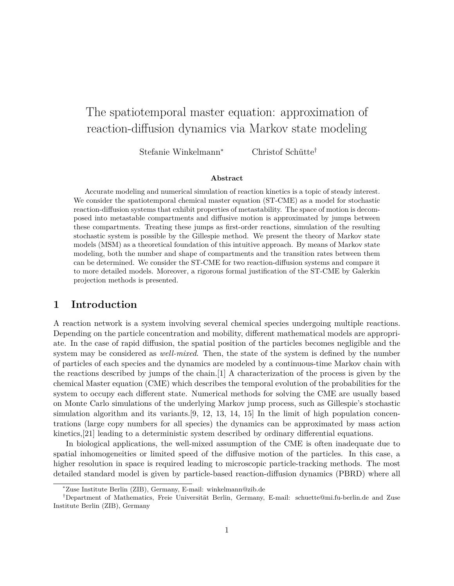# The spatiotemporal master equation: approximation of reaction-diffusion dynamics via Markov state modeling

Stefanie Winkelmann<sup>∗</sup> Christof Schütte<sup>†</sup>

## **Abstract**

Accurate modeling and numerical simulation of reaction kinetics is a topic of steady interest. We consider the spatiotemporal chemical master equation (ST-CME) as a model for stochastic reaction-diffusion systems that exhibit properties of metastability. The space of motion is decomposed into metastable compartments and diffusive motion is approximated by jumps between these compartments. Treating these jumps as first-order reactions, simulation of the resulting stochastic system is possible by the Gillespie method. We present the theory of Markov state models (MSM) as a theoretical foundation of this intuitive approach. By means of Markov state modeling, both the number and shape of compartments and the transition rates between them can be determined. We consider the ST-CME for two reaction-diffusion systems and compare it to more detailed models. Moreover, a rigorous formal justification of the ST-CME by Galerkin projection methods is presented.

# **1 Introduction**

A reaction network is a system involving several chemical species undergoing multiple reactions. Depending on the particle concentration and mobility, different mathematical models are appropriate. In the case of rapid diffusion, the spatial position of the particles becomes negligible and the system may be considered as *well-mixed*. Then, the state of the system is defined by the number of particles of each species and the dynamics are modeled by a continuous-time Markov chain with the reactions described by jumps of the chain.[1] A characterization of the process is given by the chemical Master equation (CME) which describes the temporal evolution of the probabilities for the system to occupy each different state. Numerical methods for solving the CME are usually based on Monte Carlo simulations of the underlying Markov jump process, such as Gillespie's stochastic simulation algorithm and its variants. [9, 12, 13, 14, 15] In the limit of high population concentrations (large copy numbers for all species) the dynamics can be approximated by mass action kinetics,[21] leading to a deterministic system described by ordinary differential equations.

In biological applications, the well-mixed assumption of the CME is often inadequate due to spatial inhomogeneities or limited speed of the diffusive motion of the particles. In this case, a higher resolution in space is required leading to microscopic particle-tracking methods. The most detailed standard model is given by particle-based reaction-diffusion dynamics (PBRD) where all

<sup>∗</sup>Zuse Institute Berlin (ZIB), Germany, E-mail: winkelmann@zib.de

<sup>&</sup>lt;sup>†</sup>Department of Mathematics, Freie Universität Berlin, Germany, E-mail: schuette@mi.fu-berlin.de and Zuse Institute Berlin (ZIB), Germany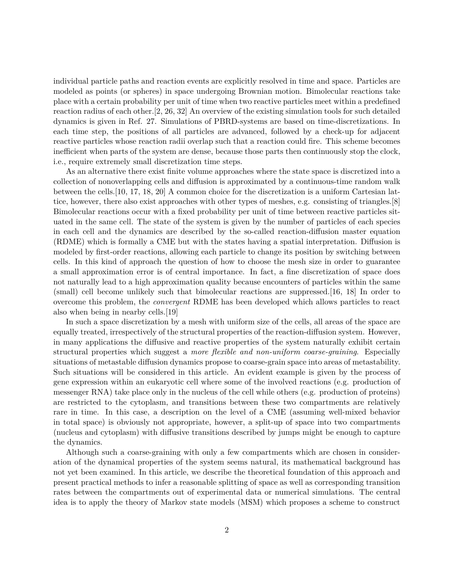individual particle paths and reaction events are explicitly resolved in time and space. Particles are modeled as points (or spheres) in space undergoing Brownian motion. Bimolecular reactions take place with a certain probability per unit of time when two reactive particles meet within a predefined reaction radius of each other.[2, 26, 32] An overview of the existing simulation tools for such detailed dynamics is given in Ref. 27. Simulations of PBRD-systems are based on time-discretizations. In each time step, the positions of all particles are advanced, followed by a check-up for adjacent reactive particles whose reaction radii overlap such that a reaction could fire. This scheme becomes inefficient when parts of the system are dense, because those parts then continuously stop the clock, i.e., require extremely small discretization time steps.

As an alternative there exist finite volume approaches where the state space is discretized into a collection of nonoverlapping cells and diffusion is approximated by a continuous-time random walk between the cells.[10, 17, 18, 20] A common choice for the discretization is a uniform Cartesian lattice, however, there also exist approaches with other types of meshes, e.g. consisting of triangles.[8] Bimolecular reactions occur with a fixed probability per unit of time between reactive particles situated in the same cell. The state of the system is given by the number of particles of each species in each cell and the dynamics are described by the so-called reaction-diffusion master equation (RDME) which is formally a CME but with the states having a spatial interpretation. Diffusion is modeled by first-order reactions, allowing each particle to change its position by switching between cells. In this kind of approach the question of how to choose the mesh size in order to guarantee a small approximation error is of central importance. In fact, a fine discretization of space does not naturally lead to a high approximation quality because encounters of particles within the same (small) cell become unlikely such that bimolecular reactions are suppressed.[16, 18] In order to overcome this problem, the *convergent* RDME has been developed which allows particles to react also when being in nearby cells.[19]

In such a space discretization by a mesh with uniform size of the cells, all areas of the space are equally treated, irrespectively of the structural properties of the reaction-diffusion system. However, in many applications the diffusive and reactive properties of the system naturally exhibit certain structural properties which suggest a *more flexible and non-uniform coarse-graining*. Especially situations of metastable diffusion dynamics propose to coarse-grain space into areas of metastability. Such situations will be considered in this article. An evident example is given by the process of gene expression within an eukaryotic cell where some of the involved reactions (e.g. production of messenger RNA) take place only in the nucleus of the cell while others (e.g. production of proteins) are restricted to the cytoplasm, and transitions between these two compartments are relatively rare in time. In this case, a description on the level of a CME (assuming well-mixed behavior in total space) is obviously not appropriate, however, a split-up of space into two compartments (nucleus and cytoplasm) with diffusive transitions described by jumps might be enough to capture the dynamics.

Although such a coarse-graining with only a few compartments which are chosen in consideration of the dynamical properties of the system seems natural, its mathematical background has not yet been examined. In this article, we describe the theoretical foundation of this approach and present practical methods to infer a reasonable splitting of space as well as corresponding transition rates between the compartments out of experimental data or numerical simulations. The central idea is to apply the theory of Markov state models (MSM) which proposes a scheme to construct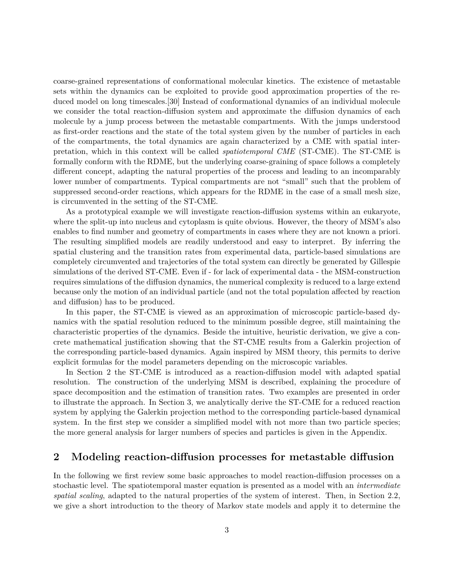coarse-grained representations of conformational molecular kinetics. The existence of metastable sets within the dynamics can be exploited to provide good approximation properties of the reduced model on long timescales.[30] Instead of conformational dynamics of an individual molecule we consider the total reaction-diffusion system and approximate the diffusion dynamics of each molecule by a jump process between the metastable compartments. With the jumps understood as first-order reactions and the state of the total system given by the number of particles in each of the compartments, the total dynamics are again characterized by a CME with spatial interpretation, which in this context will be called *spatiotemporal CME* (ST-CME). The ST-CME is formally conform with the RDME, but the underlying coarse-graining of space follows a completely different concept, adapting the natural properties of the process and leading to an incomparably lower number of compartments. Typical compartments are not "small" such that the problem of suppressed second-order reactions, which appears for the RDME in the case of a small mesh size, is circumvented in the setting of the ST-CME.

As a prototypical example we will investigate reaction-diffusion systems within an eukaryote, where the split-up into nucleus and cytoplasm is quite obvious. However, the theory of MSM's also enables to find number and geometry of compartments in cases where they are not known a priori. The resulting simplified models are readily understood and easy to interpret. By inferring the spatial clustering and the transition rates from experimental data, particle-based simulations are completely circumvented and trajectories of the total system can directly be generated by Gillespie simulations of the derived ST-CME. Even if - for lack of experimental data - the MSM-construction requires simulations of the diffusion dynamics, the numerical complexity is reduced to a large extend because only the motion of an individual particle (and not the total population affected by reaction and diffusion) has to be produced.

In this paper, the ST-CME is viewed as an approximation of microscopic particle-based dynamics with the spatial resolution reduced to the minimum possible degree, still maintaining the characteristic properties of the dynamics. Beside the intuitive, heuristic derivation, we give a concrete mathematical justification showing that the ST-CME results from a Galerkin projection of the corresponding particle-based dynamics. Again inspired by MSM theory, this permits to derive explicit formulas for the model parameters depending on the microscopic variables.

In Section 2 the ST-CME is introduced as a reaction-diffusion model with adapted spatial resolution. The construction of the underlying MSM is described, explaining the procedure of space decomposition and the estimation of transition rates. Two examples are presented in order to illustrate the approach. In Section 3, we analytically derive the ST-CME for a reduced reaction system by applying the Galerkin projection method to the corresponding particle-based dynamical system. In the first step we consider a simplified model with not more than two particle species; the more general analysis for larger numbers of species and particles is given in the Appendix.

# **2 Modeling reaction-diffusion processes for metastable diffusion**

In the following we first review some basic approaches to model reaction-diffusion processes on a stochastic level. The spatiotemporal master equation is presented as a model with an *intermediate spatial scaling*, adapted to the natural properties of the system of interest. Then, in Section 2.2, we give a short introduction to the theory of Markov state models and apply it to determine the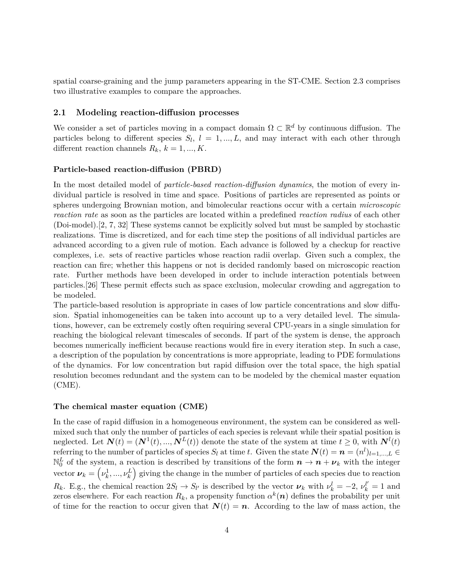spatial coarse-graining and the jump parameters appearing in the ST-CME. Section 2.3 comprises two illustrative examples to compare the approaches.

## **2.1 Modeling reaction-diffusion processes**

We consider a set of particles moving in a compact domain  $\Omega \subset \mathbb{R}^d$  by continuous diffusion. The particles belong to different species  $S_l$ ,  $l = 1, ..., L$ , and may interact with each other through different reaction channels  $R_k$ ,  $k = 1, ..., K$ .

## **Particle-based reaction-diffusion (PBRD)**

In the most detailed model of *particle-based reaction-diffusion dynamics*, the motion of every individual particle is resolved in time and space. Positions of particles are represented as points or spheres undergoing Brownian motion, and bimolecular reactions occur with a certain *microscopic reaction rate* as soon as the particles are located within a predefined *reaction radius* of each other (Doi-model).[2, 7, 32] These systems cannot be explicitly solved but must be sampled by stochastic realizations. Time is discretized, and for each time step the positions of all individual particles are advanced according to a given rule of motion. Each advance is followed by a checkup for reactive complexes, i.e. sets of reactive particles whose reaction radii overlap. Given such a complex, the reaction can fire; whether this happens or not is decided randomly based on microscopic reaction rate. Further methods have been developed in order to include interaction potentials between particles.[26] These permit effects such as space exclusion, molecular crowding and aggregation to be modeled.

The particle-based resolution is appropriate in cases of low particle concentrations and slow diffusion. Spatial inhomogeneities can be taken into account up to a very detailed level. The simulations, however, can be extremely costly often requiring several CPU-years in a single simulation for reaching the biological relevant timescales of seconds. If part of the system is dense, the approach becomes numerically inefficient because reactions would fire in every iteration step. In such a case, a description of the population by concentrations is more appropriate, leading to PDE formulations of the dynamics. For low concentration but rapid diffusion over the total space, the high spatial resolution becomes redundant and the system can to be modeled by the chemical master equation (CME).

## **The chemical master equation (CME)**

In the case of rapid diffusion in a homogeneous environment, the system can be considered as wellmixed such that only the number of particles of each species is relevant while their spatial position is neglected. Let  $\mathbf{N}(t) = (\mathbf{N}^1(t), ..., \mathbf{N}^L(t))$  denote the state of the system at time  $t \geq 0$ , with  $\mathbf{N}^l(t)$ referring to the number of particles of species  $S_l$  at time *t*. Given the state  $\mathbf{N}(t) = \mathbf{n} = (n^l)_{l=1,\dots,L} \in$  $\mathbb{N}_0^L$  of the system, a reaction is described by transitions of the form  $n \to n + \nu_k$  with the integer vector  $\boldsymbol{\nu}_k = (\nu_k^1, ..., \nu_k^L)$  giving the change in the number of particles of each species due to reaction *R<sub>k</sub>*. E.g., the chemical reaction  $2S_l \to S_{l'}$  is described by the vector  $\nu_k$  with  $\nu_k^l = -2$ ,  $\nu_k^{l'} = 1$  and zeros elsewhere. For each reaction  $R_k$ , a propensity function  $\alpha^k(n)$  defines the probability per unit of time for the reaction to occur given that  $N(t) = n$ . According to the law of mass action, the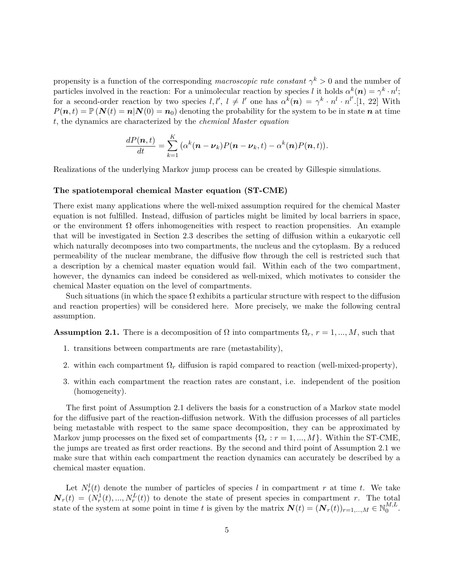propensity is a function of the corresponding *macroscopic rate constant*  $\gamma^k > 0$  and the number of particles involved in the reaction: For a unimolecular reaction by species *l* it holds  $\alpha^k(n) = \gamma^k \cdot n^l$ ; for a second-order reaction by two species *l, l', l*  $\neq$  *l'* one has  $\alpha^{\overline{k}}(n) = \gamma^k \cdot n^l \cdot n^{l'}$  [1, 22] With  $P(n,t) = P(N(t) = n | N(0) = n_0)$  denoting the probability for the system to be in state *n* at time *t*, the dynamics are characterized by the *chemical Master equation*

$$
\frac{dP(\boldsymbol{n},t)}{dt}=\sum_{k=1}^K\big(\alpha^k(\boldsymbol{n}-\boldsymbol{\nu}_k)P(\boldsymbol{n}-\boldsymbol{\nu}_k,t)-\alpha^k(\boldsymbol{n})P(\boldsymbol{n},t)\big).
$$

Realizations of the underlying Markov jump process can be created by Gillespie simulations.

#### **The spatiotemporal chemical Master equation (ST-CME)**

There exist many applications where the well-mixed assumption required for the chemical Master equation is not fulfilled. Instead, diffusion of particles might be limited by local barriers in space, or the environment  $\Omega$  offers inhomogeneities with respect to reaction propensities. An example that will be investigated in Section 2.3 describes the setting of diffusion within a eukaryotic cell which naturally decomposes into two compartments, the nucleus and the cytoplasm. By a reduced permeability of the nuclear membrane, the diffusive flow through the cell is restricted such that a description by a chemical master equation would fail. Within each of the two compartment, however, the dynamics can indeed be considered as well-mixed, which motivates to consider the chemical Master equation on the level of compartments.

Such situations (in which the space  $\Omega$  exhibits a particular structure with respect to the diffusion and reaction properties) will be considered here. More precisely, we make the following central assumption.

**Assumption 2.1.** There is a decomposition of  $\Omega$  into compartments  $\Omega_r$ ,  $r = 1, ..., M$ , such that

- 1. transitions between compartments are rare (metastability),
- 2. within each compartment Ω*<sup>r</sup>* diffusion is rapid compared to reaction (well-mixed-property),
- 3. within each compartment the reaction rates are constant, i.e. independent of the position (homogeneity).

The first point of Assumption 2.1 delivers the basis for a construction of a Markov state model for the diffusive part of the reaction-diffusion network. With the diffusion processes of all particles being metastable with respect to the same space decomposition, they can be approximated by Markov jump processes on the fixed set of compartments  $\{\Omega_r : r = 1, ..., M\}$ . Within the ST-CME, the jumps are treated as first order reactions. By the second and third point of Assumption 2.1 we make sure that within each compartment the reaction dynamics can accurately be described by a chemical master equation.

Let  $N_r^l(t)$  denote the number of particles of species *l* in compartment *r* at time *t*. We take  $\mathbf{N}_r(t) = (N_r^1(t), ..., N_r^L(t))$  to denote the state of present species in compartment *r*. The total state of the system at some point in time *t* is given by the matrix  $\mathbf{N}(t) = (\mathbf{N}_r(t))_{r=1,\dots,M} \in \mathbb{N}_0^{M,L}$  $\substack{m,\mu\0}$ .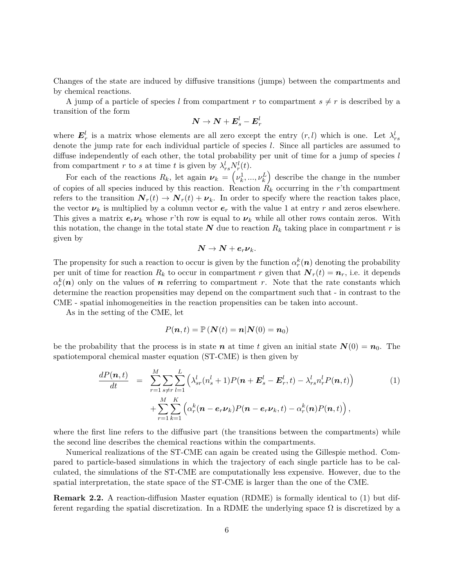Changes of the state are induced by diffusive transitions (jumps) between the compartments and by chemical reactions.

A jump of a particle of species *l* from compartment *r* to compartment  $s \neq r$  is described by a transition of the form

$$
\boldsymbol{N} \rightarrow \boldsymbol{N} + \boldsymbol{E}_s^l - \boldsymbol{E}_r^l
$$

where  $\mathbf{E}_r^l$  is a matrix whose elements are all zero except the entry  $(r, l)$  which is one. Let  $\lambda_{rs}^l$ denote the jump rate for each individual particle of species *l*. Since all particles are assumed to diffuse independently of each other, the total probability per unit of time for a jump of species *l* from compartment *r* to *s* at time *t* is given by  $\lambda_{rs}^l N_r^l(t)$ .

For each of the reactions  $R_k$ , let again  $\nu_k = (\nu_k^1, ..., \nu_k^L)$  describe the change in the number of copies of all species induced by this reaction. Reaction  $R_k$  occurring in the r'th compartment refers to the transition  $N_r(t) \to N_r(t) + \nu_k$ . In order to specify where the reaction takes place, the vector  $\nu_k$  is multiplied by a column vector  $e_r$  with the value 1 at entry r and zeros elsewhere. This gives a matrix  $e_r \nu_k$  whose *r*'th row is equal to  $\nu_k$  while all other rows contain zeros. With this notation, the change in the total state  $N$  due to reaction  $R_k$  taking place in compartment  $r$  is given by

$$
\boldsymbol{N} \rightarrow \boldsymbol{N} + \boldsymbol{e}_r \boldsymbol{\nu}_k.
$$

The propensity for such a reaction to occur is given by the function  $\alpha_r^k(n)$  denoting the probability per unit of time for reaction  $R_k$  to occur in compartment *r* given that  $\mathbf{N}_r(t) = \mathbf{n}_r$ , i.e. it depends  $\alpha_r^k(n)$  only on the values of *n* referring to compartment *r*. Note that the rate constants which determine the reaction propensities may depend on the compartment such that - in contrast to the CME - spatial inhomogeneities in the reaction propensities can be taken into account.

As in the setting of the CME, let

$$
P(\boldsymbol{n},t) = \mathbb{P}\left(\boldsymbol{N}(t) = \boldsymbol{n} | \boldsymbol{N}(0) = \boldsymbol{n}_0\right)
$$

be the probability that the process is in state *n* at time *t* given an initial state  $N(0) = n_0$ . The spatiotemporal chemical master equation (ST-CME) is then given by

$$
\frac{dP(\boldsymbol{n},t)}{dt} = \sum_{r=1}^{M} \sum_{s \neq r} \sum_{l=1}^{L} \left( \lambda_{sr}^{l}(n_s^l + 1) P(\boldsymbol{n} + \boldsymbol{E}_s^l - \boldsymbol{E}_r^l, t) - \lambda_{rs}^{l} n_r^l P(\boldsymbol{n}, t) \right) \tag{1}
$$
\n
$$
+ \sum_{r=1}^{M} \sum_{k=1}^{K} \left( \alpha_r^k (\boldsymbol{n} - \boldsymbol{e}_r \boldsymbol{\nu}_k) P(\boldsymbol{n} - \boldsymbol{e}_r \boldsymbol{\nu}_k, t) - \alpha_r^k(\boldsymbol{n}) P(\boldsymbol{n}, t) \right),
$$

where the first line refers to the diffusive part (the transitions between the compartments) while the second line describes the chemical reactions within the compartments.

Numerical realizations of the ST-CME can again be created using the Gillespie method. Compared to particle-based simulations in which the trajectory of each single particle has to be calculated, the simulations of the ST-CME are computationally less expensive. However, due to the spatial interpretation, the state space of the ST-CME is larger than the one of the CME.

**Remark 2.2.** A reaction-diffusion Master equation (RDME) is formally identical to (1) but different regarding the spatial discretization. In a RDME the underlying space  $\Omega$  is discretized by a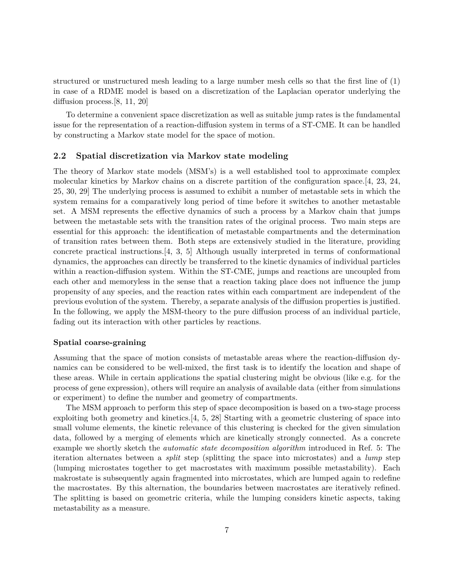structured or unstructured mesh leading to a large number mesh cells so that the first line of (1) in case of a RDME model is based on a discretization of the Laplacian operator underlying the diffusion process.[8, 11, 20]

To determine a convenient space discretization as well as suitable jump rates is the fundamental issue for the representation of a reaction-diffusion system in terms of a ST-CME. It can be handled by constructing a Markov state model for the space of motion.

### **2.2 Spatial discretization via Markov state modeling**

The theory of Markov state models (MSM's) is a well established tool to approximate complex molecular kinetics by Markov chains on a discrete partition of the configuration space.[4, 23, 24, 25, 30, 29] The underlying process is assumed to exhibit a number of metastable sets in which the system remains for a comparatively long period of time before it switches to another metastable set. A MSM represents the effective dynamics of such a process by a Markov chain that jumps between the metastable sets with the transition rates of the original process. Two main steps are essential for this approach: the identification of metastable compartments and the determination of transition rates between them. Both steps are extensively studied in the literature, providing concrete practical instructions.[4, 3, 5] Although usually interpreted in terms of conformational dynamics, the approaches can directly be transferred to the kinetic dynamics of individual particles within a reaction-diffusion system. Within the ST-CME, jumps and reactions are uncoupled from each other and memoryless in the sense that a reaction taking place does not influence the jump propensity of any species, and the reaction rates within each compartment are independent of the previous evolution of the system. Thereby, a separate analysis of the diffusion properties is justified. In the following, we apply the MSM-theory to the pure diffusion process of an individual particle, fading out its interaction with other particles by reactions.

# **Spatial coarse-graining**

Assuming that the space of motion consists of metastable areas where the reaction-diffusion dynamics can be considered to be well-mixed, the first task is to identify the location and shape of these areas. While in certain applications the spatial clustering might be obvious (like e.g. for the process of gene expression), others will require an analysis of available data (either from simulations or experiment) to define the number and geometry of compartments.

The MSM approach to perform this step of space decomposition is based on a two-stage process exploiting both geometry and kinetics.[4, 5, 28] Starting with a geometric clustering of space into small volume elements, the kinetic relevance of this clustering is checked for the given simulation data, followed by a merging of elements which are kinetically strongly connected. As a concrete example we shortly sketch the *automatic state decomposition algorithm* introduced in Ref. 5: The iteration alternates between a *split* step (splitting the space into microstates) and a *lump* step (lumping microstates together to get macrostates with maximum possible metastability). Each makrostate is subsequently again fragmented into microstates, which are lumped again to redefine the macrostates. By this alternation, the boundaries between macrostates are iteratively refined. The splitting is based on geometric criteria, while the lumping considers kinetic aspects, taking metastability as a measure.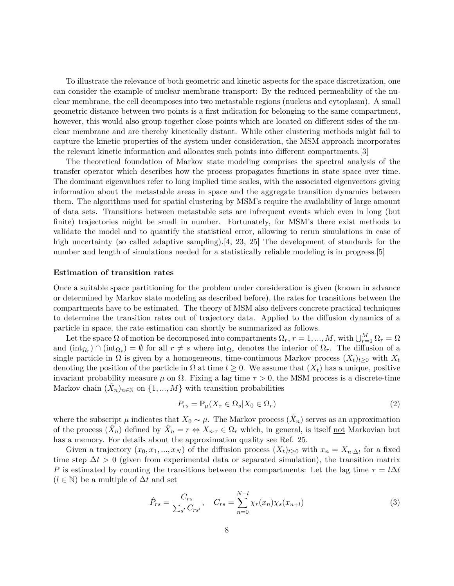To illustrate the relevance of both geometric and kinetic aspects for the space discretization, one can consider the example of nuclear membrane transport: By the reduced permeability of the nuclear membrane, the cell decomposes into two metastable regions (nucleus and cytoplasm). A small geometric distance between two points is a first indication for belonging to the same compartment, however, this would also group together close points which are located on different sides of the nuclear membrane and are thereby kinetically distant. While other clustering methods might fail to capture the kinetic properties of the system under consideration, the MSM approach incorporates the relevant kinetic information and allocates such points into different compartments.[3]

The theoretical foundation of Markov state modeling comprises the spectral analysis of the transfer operator which describes how the process propagates functions in state space over time. The dominant eigenvalues refer to long implied time scales, with the associated eigenvectors giving information about the metastable areas in space and the aggregate transition dynamics between them. The algorithms used for spatial clustering by MSM's require the availability of large amount of data sets. Transitions between metastable sets are infrequent events which even in long (but finite) trajectories might be small in number. Fortunately, for MSM's there exist methods to validate the model and to quantify the statistical error, allowing to rerun simulations in case of high uncertainty (so called adaptive sampling).[4, 23, 25] The development of standards for the number and length of simulations needed for a statistically reliable modeling is in progress.[5]

# **Estimation of transition rates**

Once a suitable space partitioning for the problem under consideration is given (known in advance or determined by Markov state modeling as described before), the rates for transitions between the compartments have to be estimated. The theory of MSM also delivers concrete practical techniques to determine the transition rates out of trajectory data. Applied to the diffusion dynamics of a particle in space, the rate estimation can shortly be summarized as follows.

Let the space  $\Omega$  of motion be decomposed into compartments  $\Omega_r$ ,  $r = 1, ..., M$ , with  $\bigcup_{r=1}^{M} \Omega_r = \Omega$ and  $(int_{\Omega_r}) \cap (int_{\Omega_s}) = \emptyset$  for all  $r \neq s$  where  $int_{\Omega_r}$  denotes the interior of  $\Omega_r$ . The diffusion of a single particle in  $\Omega$  is given by a homogeneous, time-continuous Markov process  $(X_t)_{t>0}$  with  $X_t$ denoting the position of the particle in  $\Omega$  at time  $t \geq 0$ . We assume that  $(X_t)$  has a unique, positive invariant probability measure  $\mu$  on  $\Omega$ . Fixing a lag time  $\tau > 0$ , the MSM process is a discrete-time Markov chain  $(\tilde{X}_n)_{n\in\mathbb{N}}$  on  $\{1, ..., M\}$  with transition probabilities

$$
P_{rs} = \mathbb{P}_{\mu}(X_{\tau} \in \Omega_s | X_0 \in \Omega_r)
$$
\n<sup>(2)</sup>

where the subscript  $\mu$  indicates that  $X_0 \sim \mu$ . The Markov process  $(\tilde{X}_n)$  serves as an approximation of the process  $(\hat{X}_n)$  defined by  $\hat{X}_n = r \Leftrightarrow X_{n \cdot \tau} \in \Omega_r$  which, in general, is itself <u>not</u> Markovian but has a memory. For details about the approximation quality see Ref. 25.

Given a trajectory  $(x_0, x_1, ..., x_N)$  of the diffusion process  $(X_t)_{t\geq 0}$  with  $x_n = X_{n \cdot \Delta t}$  for a fixed time step ∆*t >* 0 (given from experimental data or separated simulation), the transition matrix *P* is estimated by counting the transitions between the compartments: Let the lag time  $\tau = l\Delta t$  $(l \in \mathbb{N})$  be a multiple of  $\Delta t$  and set

$$
\hat{P}_{rs} = \frac{C_{rs}}{\sum_{s'} C_{rs'}}, \quad C_{rs} = \sum_{n=0}^{N-l} \chi_r(x_n) \chi_s(x_{n+l})
$$
\n(3)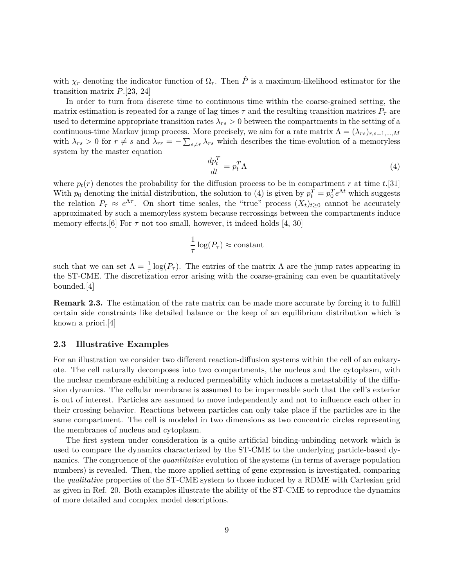with  $\chi_r$  denoting the indicator function of  $\Omega_r$ . Then  $\hat{P}$  is a maximum-likelihood estimator for the transition matrix *P*.[23, 24]

In order to turn from discrete time to continuous time within the coarse-grained setting, the matrix estimation is repeated for a range of lag times  $\tau$  and the resulting transition matrices  $P_{\tau}$  are used to determine appropriate transition rates  $\lambda_{rs} > 0$  between the compartments in the setting of a continuous-time Markov jump process. More precisely, we aim for a rate matrix  $\Lambda = (\lambda_{rs})_{r,s=1,\dots,M}$ with  $\lambda_{rs} > 0$  for  $r \neq s$  and  $\lambda_{rr} = -\sum_{s \neq r} \lambda_{rs}$  which describes the time-evolution of a memoryless system by the master equation

$$
\frac{dp_t^T}{dt} = p_t^T \Lambda \tag{4}
$$

where  $p_t(r)$  denotes the probability for the diffusion process to be in compartment  $r$  at time  $t$ .[31] With  $p_0$  denoting the initial distribution, the solution to (4) is given by  $p_t^T = p_0^T e^{\Lambda t}$  which suggests the relation  $P_{\tau} \approx e^{\Lambda \tau}$ . On short time scales, the "true" process  $(X_t)_{t\geq 0}$  cannot be accurately approximated by such a memoryless system because recrossings between the compartments induce memory effects.<sup>[6]</sup> For  $\tau$  not too small, however, it indeed holds [4, 30]

$$
\frac{1}{\tau}\log(P_\tau) \approx {\rm constant}
$$

such that we can set  $\Lambda = \frac{1}{\tau} \log(P_{\tau})$ . The entries of the matrix  $\Lambda$  are the jump rates appearing in the ST-CME. The discretization error arising with the coarse-graining can even be quantitatively bounded.[4]

**Remark 2.3.** The estimation of the rate matrix can be made more accurate by forcing it to fulfill certain side constraints like detailed balance or the keep of an equilibrium distribution which is known a priori.[4]

## **2.3 Illustrative Examples**

For an illustration we consider two different reaction-diffusion systems within the cell of an eukaryote. The cell naturally decomposes into two compartments, the nucleus and the cytoplasm, with the nuclear membrane exhibiting a reduced permeability which induces a metastability of the diffusion dynamics. The cellular membrane is assumed to be impermeable such that the cell's exterior is out of interest. Particles are assumed to move independently and not to influence each other in their crossing behavior. Reactions between particles can only take place if the particles are in the same compartment. The cell is modeled in two dimensions as two concentric circles representing the membranes of nucleus and cytoplasm.

The first system under consideration is a quite artificial binding-unbinding network which is used to compare the dynamics characterized by the ST-CME to the underlying particle-based dynamics. The congruence of the *quantitative* evolution of the systems (in terms of average population numbers) is revealed. Then, the more applied setting of gene expression is investigated, comparing the *qualitative* properties of the ST-CME system to those induced by a RDME with Cartesian grid as given in Ref. 20. Both examples illustrate the ability of the ST-CME to reproduce the dynamics of more detailed and complex model descriptions.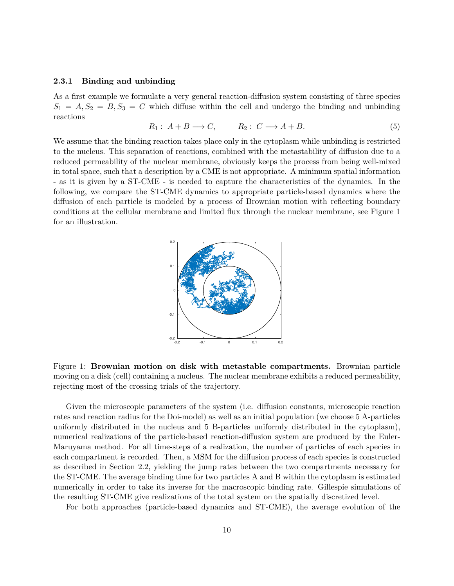### **2.3.1 Binding and unbinding**

As a first example we formulate a very general reaction-diffusion system consisting of three species  $S_1 = A, S_2 = B, S_3 = C$  which diffuse within the cell and undergo the binding and unbinding reactions

$$
R_1: A + B \longrightarrow C, \qquad R_2: C \longrightarrow A + B. \tag{5}
$$

We assume that the binding reaction takes place only in the cytoplasm while unbinding is restricted to the nucleus. This separation of reactions, combined with the metastability of diffusion due to a reduced permeability of the nuclear membrane, obviously keeps the process from being well-mixed in total space, such that a description by a CME is not appropriate. A minimum spatial information - as it is given by a ST-CME - is needed to capture the characteristics of the dynamics. In the following, we compare the ST-CME dynamics to appropriate particle-based dynamics where the diffusion of each particle is modeled by a process of Brownian motion with reflecting boundary conditions at the cellular membrane and limited flux through the nuclear membrane, see Figure 1 for an illustration.



Figure 1: **Brownian motion on disk with metastable compartments.** Brownian particle moving on a disk (cell) containing a nucleus. The nuclear membrane exhibits a reduced permeability, rejecting most of the crossing trials of the trajectory.

Given the microscopic parameters of the system (i.e. diffusion constants, microscopic reaction rates and reaction radius for the Doi-model) as well as an initial population (we choose 5 A-particles uniformly distributed in the nucleus and 5 B-particles uniformly distributed in the cytoplasm), numerical realizations of the particle-based reaction-diffusion system are produced by the Euler-Maruyama method. For all time-steps of a realization, the number of particles of each species in each compartment is recorded. Then, a MSM for the diffusion process of each species is constructed as described in Section 2.2, yielding the jump rates between the two compartments necessary for the ST-CME. The average binding time for two particles A and B within the cytoplasm is estimated numerically in order to take its inverse for the macroscopic binding rate. Gillespie simulations of the resulting ST-CME give realizations of the total system on the spatially discretized level.

For both approaches (particle-based dynamics and ST-CME), the average evolution of the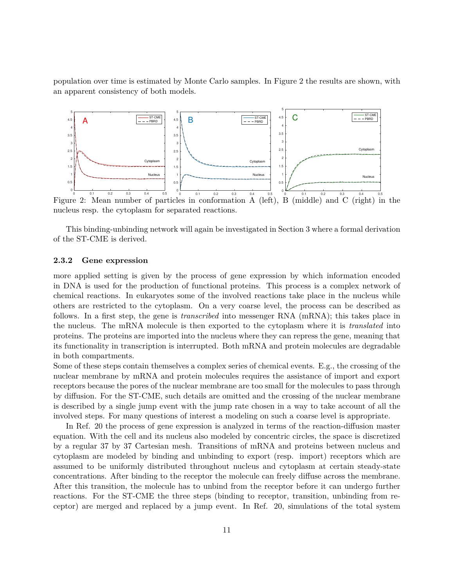population over time is estimated by Monte Carlo samples. In Figure 2 the results are shown, with an apparent consistency of both models.



Figure 2: Mean number of particles in conformation A (left), B (middle) and C (right) in the nucleus resp. the cytoplasm for separated reactions.

This binding-unbinding network will again be investigated in Section 3 where a formal derivation of the ST-CME is derived.

# **2.3.2 Gene expression**

more applied setting is given by the process of gene expression by which information encoded in DNA is used for the production of functional proteins. This process is a complex network of chemical reactions. In eukaryotes some of the involved reactions take place in the nucleus while others are restricted to the cytoplasm. On a very coarse level, the process can be described as follows. In a first step, the gene is *transcribed* into messenger RNA (mRNA); this takes place in the nucleus. The mRNA molecule is then exported to the cytoplasm where it is *translated* into proteins. The proteins are imported into the nucleus where they can repress the gene, meaning that its functionality in transcription is interrupted. Both mRNA and protein molecules are degradable in both compartments.

Some of these steps contain themselves a complex series of chemical events. E.g., the crossing of the nuclear membrane by mRNA and protein molecules requires the assistance of import and export receptors because the pores of the nuclear membrane are too small for the molecules to pass through by diffusion. For the ST-CME, such details are omitted and the crossing of the nuclear membrane is described by a single jump event with the jump rate chosen in a way to take account of all the involved steps. For many questions of interest a modeling on such a coarse level is appropriate.

In Ref. 20 the process of gene expression is analyzed in terms of the reaction-diffusion master equation. With the cell and its nucleus also modeled by concentric circles, the space is discretized by a regular 37 by 37 Cartesian mesh. Transitions of mRNA and proteins between nucleus and cytoplasm are modeled by binding and unbinding to export (resp. import) receptors which are assumed to be uniformly distributed throughout nucleus and cytoplasm at certain steady-state concentrations. After binding to the receptor the molecule can freely diffuse across the membrane. After this transition, the molecule has to unbind from the receptor before it can undergo further reactions. For the ST-CME the three steps (binding to receptor, transition, unbinding from receptor) are merged and replaced by a jump event. In Ref. 20, simulations of the total system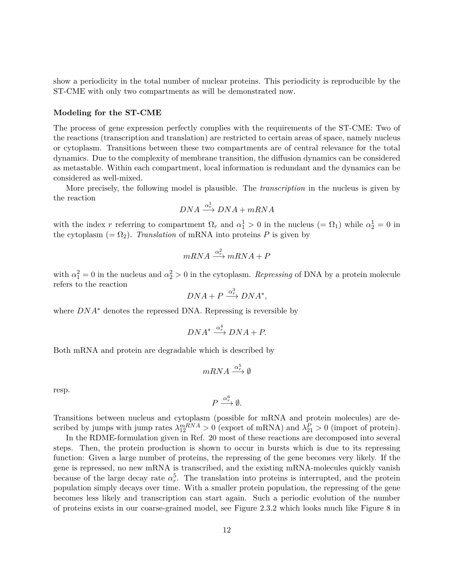show a periodicity in the total number of nuclear proteins. This periodicity is reproducible by the ST-CME with only two compartments as will be demonstrated now.

#### **Modeling for the ST-CME**

The process of gene expression perfectly complies with the requirements of the ST-CME: Two of the reactions (transcription and translation) are restricted to certain areas of space, namely nucleus or cytoplasm. Transitions between these two compartments are of central relevance for the total dynamics. Due to the complexity of membrane transition, the diffusion dynamics can be considered as metastable. Within each compartment, local information is redundant and the dynamics can be considered as well-mixed.

More precisely, the following model is plausible. The *transcription* in the nucleus is given by the reaction

$$
DNA \xrightarrow{\alpha_r^1} DNA + mRNA
$$

with the index *r* referring to compartment  $\Omega_r$  and  $\alpha_1^1 > 0$  in the nucleus (=  $\Omega_1$ ) while  $\alpha_2^1 = 0$  in the cytoplasm  $(=\Omega_2)$ . *Translation* of mRNA into proteins P is given by

$$
mRNA \xrightarrow{\alpha_r^2} mRNA + P
$$

with  $\alpha_1^2 = 0$  in the nucleus and  $\alpha_2^2 > 0$  in the cytoplasm. *Repressing* of DNA by a protein molecule refers to the reaction

$$
DNA + P \xrightarrow{\alpha_r^3} DNA^*,
$$

where *DNA*<sup>∗</sup> denotes the repressed DNA. Repressing is reversible by

$$
DNA^* \xrightarrow{\alpha_r^4} DNA + P.
$$

Both mRNA and protein are degradable which is described by

$$
mRNA \stackrel{\alpha_r^5}{\longrightarrow} \emptyset
$$

resp.

$$
P \xrightarrow{\alpha_r^6} \emptyset.
$$

Transitions between nucleus and cytoplasm (possible for mRNA and protein molecules) are described by jumps with jump rates  $\lambda_{12}^{mRNA} > 0$  (export of mRNA) and  $\lambda_{21}^P > 0$  (import of protein).

In the RDME-formulation given in Ref. 20 most of these reactions are decomposed into several steps. Then, the protein production is shown to occur in bursts which is due to its repressing function: Given a large number of proteins, the repressing of the gene becomes very likely. If the gene is repressed, no new mRNA is transcribed, and the existing mRNA-molecules quickly vanish because of the large decay rate  $\alpha_r^5$ . The translation into proteins is interrupted, and the protein population simply decays over time. With a smaller protein population, the repressing of the gene becomes less likely and transcription can start again. Such a periodic evolution of the number of proteins exists in our coarse-grained model, see Figure 2.3.2 which looks much like Figure 8 in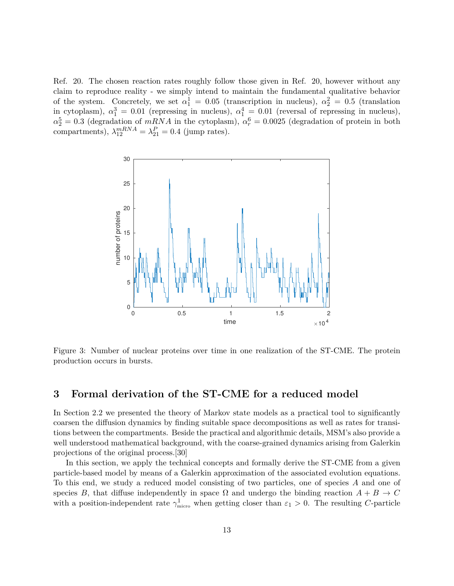Ref. 20. The chosen reaction rates roughly follow those given in Ref. 20, however without any claim to reproduce reality - we simply intend to maintain the fundamental qualitative behavior of the system. Concretely, we set  $\alpha_1^1 = 0.05$  (transcription in nucleus),  $\alpha_2^2 = 0.5$  (translation in cytoplasm),  $\alpha_1^3 = 0.01$  (repressing in nucleus),  $\alpha_1^4 = 0.01$  (reversal of repressing in nucleus),  $\alpha_2^5 = 0.3$  (degradation of *mRNA* in the cytoplasm),  $\alpha_r^6 = 0.0025$  (degradation of protein in both compartments),  $\lambda_{12}^{mRNA} = \lambda_{21}^P = 0.4$  (jump rates).



Figure 3: Number of nuclear proteins over time in one realization of the ST-CME. The protein production occurs in bursts.

# **3 Formal derivation of the ST-CME for a reduced model**

In Section 2.2 we presented the theory of Markov state models as a practical tool to significantly coarsen the diffusion dynamics by finding suitable space decompositions as well as rates for transitions between the compartments. Beside the practical and algorithmic details, MSM's also provide a well understood mathematical background, with the coarse-grained dynamics arising from Galerkin projections of the original process.[30]

In this section, we apply the technical concepts and formally derive the ST-CME from a given particle-based model by means of a Galerkin approximation of the associated evolution equations. To this end, we study a reduced model consisting of two particles, one of species *A* and one of species *B*, that diffuse independently in space  $\Omega$  and undergo the binding reaction  $A + B \rightarrow C$ with a position-independent rate  $\gamma_{\text{micro}}^1$  when getting closer than  $\varepsilon_1 > 0$ . The resulting *C*-particle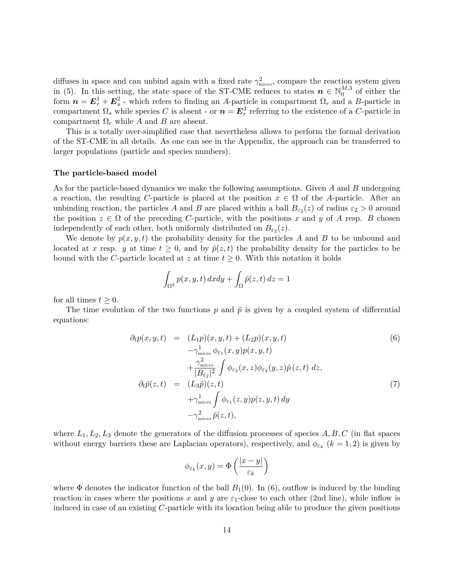diffuses in space and can unbind again with a fixed rate  $\gamma_{\text{micro}}^2$ , compare the reaction system given in (5). In this setting, the state space of the ST-CME reduces to states  $n \in \mathbb{N}_0^{M,3}$  $_{0}^{M,3}$  of either the form  $n = E_r^1 + E_s^2$  - which refers to finding an *A*-particle in compartment  $\Omega_r$  and a *B*-particle in compartment  $\Omega_s$  while species *C* is absent - or  $n = E_r^3$  referring to the existence of a *C*-particle in compartment  $\Omega_r$  while *A* and *B* are absent.

This is a totally over-simplified case that nevertheless allows to perform the formal derivation of the ST-CME in all details. As one can see in the Appendix, the approach can be transferred to larger populations (particle and species numbers).

### **The particle-based model**

As for the particle-based dynamics we make the following assumptions. Given *A* and *B* undergoing a reaction, the resulting *C*-particle is placed at the position  $x \in \Omega$  of the *A*-particle. After an unbinding reaction, the particles *A* and *B* are placed within a ball  $B_{\varepsilon_2}(z)$  of radius  $\varepsilon_2 > 0$  around the position  $z \in \Omega$  of the preceding *C*-particle, with the positions *x* and *y* of *A* resp. *B* chosen independently of each other, both uniformly distributed on  $B_{\varepsilon_2}(z)$ .

We denote by  $p(x, y, t)$  the probability density for the particles A and B to be unbound and located at *x* resp. *y* at time  $t \geq 0$ , and by  $\tilde{p}(z, t)$  the probability density for the particles to be bound with the *C*-particle located at *z* at time  $t \geq 0$ . With this notation it holds

$$
\int_{\Omega^2} p(x, y, t) \, dx dy + \int_{\Omega} \tilde{p}(z, t) \, dz = 1
$$

for all times  $t \geq 0$ .

The time evolution of the two functions  $p$  and  $\tilde{p}$  is given by a coupled system of differential equations:

$$
\partial_t p(x, y, t) = (L_1 p)(x, y, t) + (L_2 p)(x, y, t)
$$
  
\n
$$
-\gamma_{\text{micro}}^1 \phi_{\varepsilon_1}(x, y) p(x, y, t)
$$
  
\n
$$
+\frac{\gamma_{\text{micro}}^2}{|B_{\varepsilon_2}|^2} \int \phi_{\varepsilon_2}(x, z) \phi_{\varepsilon_2}(y, z) \tilde{p}(z, t) dz,
$$
  
\n
$$
\partial_t \tilde{p}(z, t) = (L_3 \tilde{p})(z, t)
$$
  
\n
$$
+\gamma_{\text{micro}}^1 \int \phi_{\varepsilon_1}(z, y) p(z, y, t) dy
$$
  
\n
$$
-\gamma_{\text{micro}}^2 \tilde{p}(z, t),
$$
\n(7)

where  $L_1, L_2, L_3$  denote the generators of the diffusion processes of species  $A, B, C$  (in flat spaces without energy barriers these are Laplacian operators), respectively, and  $\phi_{\varepsilon_k}$  ( $k = 1, 2$ ) is given by

$$
\phi_{\varepsilon_k}(x,y) = \Phi\left(\frac{|x-y|}{\varepsilon_k}\right)
$$

where  $\Phi$  denotes the indicator function of the ball  $B_1(0)$ . In (6), outflow is induced by the binding reaction in cases where the positions x and y are  $\varepsilon_1$ -close to each other (2nd line), while inflow is induced in case of an existing *C*-particle with its location being able to produce the given positions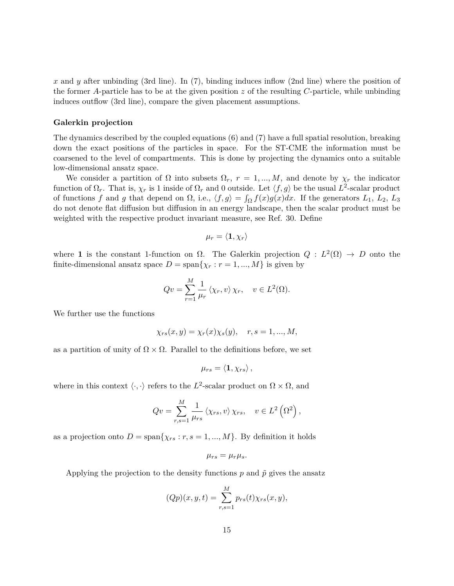*x* and *y* after unbinding (3rd line). In (7), binding induces inflow (2nd line) where the position of the former *A*-particle has to be at the given position *z* of the resulting *C*-particle, while unbinding induces outflow (3rd line), compare the given placement assumptions.

#### **Galerkin projection**

The dynamics described by the coupled equations (6) and (7) have a full spatial resolution, breaking down the exact positions of the particles in space. For the ST-CME the information must be coarsened to the level of compartments. This is done by projecting the dynamics onto a suitable low-dimensional ansatz space.

We consider a partition of  $\Omega$  into subsets  $\Omega_r$ ,  $r = 1, ..., M$ , and denote by  $\chi_r$  the indicator function of  $\Omega_r$ . That is,  $\chi_r$  is 1 inside of  $\Omega_r$  and 0 outside. Let  $\langle f, g \rangle$  be the usual  $L^2$ -scalar product of functions *f* and *g* that depend on  $\Omega$ , i.e.,  $\langle f, g \rangle = \int_{\Omega} f(x)g(x)dx$ . If the generators  $L_1$ ,  $L_2$ ,  $L_3$ do not denote flat diffusion but diffusion in an energy landscape, then the scalar product must be weighted with the respective product invariant measure, see Ref. 30. Define

$$
\mu_r = \langle \mathbf{1}, \chi_r \rangle
$$

where **1** is the constant 1-function on  $\Omega$ . The Galerkin projection  $Q : L^2(\Omega) \to D$  onto the finite-dimensional ansatz space  $D = \text{span}\{\chi_r : r = 1, ..., M\}$  is given by

$$
Qv = \sum_{r=1}^{M} \frac{1}{\mu_r} \langle \chi_r, v \rangle \chi_r, \quad v \in L^2(\Omega).
$$

We further use the functions

$$
\chi_{rs}(x,y) = \chi_r(x)\chi_s(y), \quad r, s = 1, \ldots, M,
$$

as a partition of unity of  $\Omega \times \Omega$ . Parallel to the definitions before, we set

$$
\mu_{rs} = \langle \mathbf{1}, \chi_{rs} \rangle \,,
$$

where in this context  $\langle \cdot, \cdot \rangle$  refers to the  $L^2$ -scalar product on  $\Omega \times \Omega$ , and

$$
Qv = \sum_{r,s=1}^{M} \frac{1}{\mu_{rs}} \left\langle \chi_{rs}, v \right\rangle \chi_{rs}, \quad v \in L^{2}\left(\Omega^{2}\right),
$$

as a projection onto  $D = \text{span}\{\chi_{rs} : r, s = 1, ..., M\}$ . By definition it holds

$$
\mu_{rs}=\mu_r\mu_s.
$$

Applying the projection to the density functions  $p$  and  $\tilde{p}$  gives the ansatz

$$
(Qp)(x, y, t) = \sum_{r,s=1}^{M} p_{rs}(t) \chi_{rs}(x, y),
$$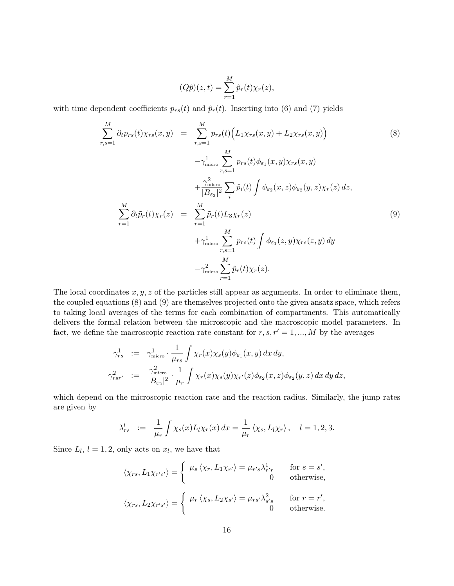$$
(Q\tilde{p})(z,t) = \sum_{r=1}^{M} \tilde{p}_r(t)\chi_r(z),
$$

with time dependent coefficients  $p_{rs}(t)$  and  $\tilde{p}_r(t)$ . Inserting into (6) and (7) yields

$$
\sum_{r,s=1}^{M} \partial_t p_{rs}(t) \chi_{rs}(x, y) = \sum_{r,s=1}^{M} p_{rs}(t) \Big( L_1 \chi_{rs}(x, y) + L_2 \chi_{rs}(x, y) \Big)
$$
\n
$$
- \gamma_{\text{micro}}^1 \sum_{r,s=1}^{M} p_{rs}(t) \phi_{\varepsilon_1}(x, y) \chi_{rs}(x, y)
$$
\n
$$
+ \frac{\gamma_{\text{micro}}^2}{|B_{\varepsilon_2}|^2} \sum_{i} \tilde{p}_i(t) \int \phi_{\varepsilon_2}(x, z) \phi_{\varepsilon_2}(y, z) \chi_r(z) dz,
$$
\n
$$
\sum_{r=1}^{M} \partial_t \tilde{p}_r(t) \chi_r(z) = \sum_{r=1}^{M} \tilde{p}_r(t) L_3 \chi_r(z)
$$
\n
$$
+ \gamma_{\text{micro}}^1 \sum_{r,s=1}^{M} p_{rs}(t) \int \phi_{\varepsilon_1}(z, y) \chi_{rs}(z, y) dy
$$
\n
$$
- \gamma_{\text{micro}}^2 \sum_{r=1}^{M} \tilde{p}_r(t) \chi_r(z).
$$
\n(9)

The local coordinates  $x, y, z$  of the particles still appear as arguments. In order to eliminate them, the coupled equations (8) and (9) are themselves projected onto the given ansatz space, which refers to taking local averages of the terms for each combination of compartments. This automatically delivers the formal relation between the microscopic and the macroscopic model parameters. In fact, we define the macroscopic reaction rate constant for  $r, s, r' = 1, ..., M$  by the averages

$$
\gamma_{rs}^1 := \gamma_{\text{micro}}^1 \cdot \frac{1}{\mu_{rs}} \int \chi_r(x) \chi_s(y) \phi_{\varepsilon_1}(x, y) dx dy,
$$
  

$$
\gamma_{rsr'}^2 := \frac{\gamma_{\text{micro}}^2}{|B_{\varepsilon_2}|^2} \cdot \frac{1}{\mu_r} \int \chi_r(x) \chi_s(y) \chi_{r'}(z) \phi_{\varepsilon_2}(x, z) \phi_{\varepsilon_2}(y, z) dx dy dz,
$$

which depend on the microscopic reaction rate and the reaction radius. Similarly, the jump rates are given by

$$
\lambda_{rs}^l := \frac{1}{\mu_r} \int \chi_s(x) L_l \chi_r(x) \, dx = \frac{1}{\mu_r} \langle \chi_s, L_l \chi_r \rangle \,, \quad l = 1, 2, 3.
$$

Since  $L_l$ ,  $l = 1, 2$ , only acts on  $x_l$ , we have that

$$
\langle \chi_{rs}, L_1 \chi_{r's'} \rangle = \begin{cases} \mu_s \langle \chi_r, L_1 \chi_{r'} \rangle = \mu_{r's} \lambda_{r'r}^1 & \text{for } s = s', \\ 0 & \text{otherwise,} \end{cases}
$$
  

$$
\langle \chi_{rs}, L_2 \chi_{r's'} \rangle = \begin{cases} \mu_r \langle \chi_s, L_2 \chi_{s'} \rangle = \mu_{rs'} \lambda_{s's}^2 & \text{for } r = r', \\ 0 & \text{otherwise.} \end{cases}
$$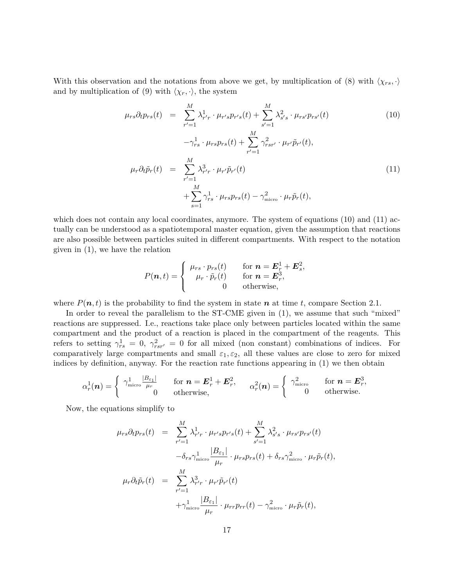With this observation and the notations from above we get, by multiplication of (8) with  $\langle \chi_{rs}, \cdot \rangle$ and by multiplication of (9) with  $\langle \chi_r, \cdot \rangle$ , the system

$$
\mu_{rs}\partial_t p_{rs}(t) = \sum_{r'=1}^M \lambda_{r'r}^1 \cdot \mu_{r's} p_{r's}(t) + \sum_{s'=1}^M \lambda_{s's}^2 \cdot \mu_{rs'} p_{rs'}(t)
$$
\n
$$
-\gamma_{rs}^1 \cdot \mu_{rs} p_{rs}(t) + \sum_{r'=1}^M \gamma_{rsr'}^2 \cdot \mu_{r'} \tilde{p}_{r'}(t),
$$
\n
$$
\mu_r \partial_t \tilde{p}_r(t) = \sum_{r'=1}^M \lambda_{r'r}^3 \cdot \mu_{r'} \tilde{p}_{r'}(t)
$$
\n
$$
+\sum_{s=1}^M \gamma_{rs}^1 \cdot \mu_{rs} p_{rs}(t) - \gamma_{\text{micro}}^2 \cdot \mu_r \tilde{p}_r(t),
$$
\n(11)

which does not contain any local coordinates, anymore. The system of equations (10) and (11) actually can be understood as a spatiotemporal master equation, given the assumption that reactions are also possible between particles suited in different compartments. With respect to the notation given in (1), we have the relation

$$
P(\boldsymbol{n},t) = \begin{cases} \mu_{rs} \cdot p_{rs}(t) & \text{for } \boldsymbol{n} = \boldsymbol{E}_r^1 + \boldsymbol{E}_s^2, \\ \mu_r \cdot \tilde{p}_r(t) & \text{for } \boldsymbol{n} = \boldsymbol{E}_r^3, \\ 0 & \text{otherwise,} \end{cases}
$$

where  $P(n, t)$  is the probability to find the system in state  $n$  at time  $t$ , compare Section 2.1.

In order to reveal the parallelism to the ST-CME given in  $(1)$ , we assume that such "mixed" reactions are suppressed. I.e., reactions take place only between particles located within the same compartment and the product of a reaction is placed in the compartment of the reagents. This refers to setting  $\gamma_{rs}^1 = 0$ ,  $\gamma_{rsr'}^2 = 0$  for all mixed (non constant) combinations of indices. For comparatively large compartments and small  $\varepsilon_1, \varepsilon_2$ , all these values are close to zero for mixed indices by definition, anyway. For the reaction rate functions appearing in (1) we then obtain

$$
\alpha_r^1(n) = \begin{cases} \begin{array}{ccc} \gamma_{\text{micro}}^1 & \text{for } n = E_r^1 + E_r^2, \\ 0 & \text{otherwise,} \end{array} & \alpha_r^2(n) = \begin{cases} \begin{array}{ccc} \gamma_{\text{micro}}^2 & \text{for } n = E_r^3, \\ 0 & \text{otherwise.} \end{array} \end{cases}
$$

Now, the equations simplify to

$$
\mu_{rs}\partial_t p_{rs}(t) = \sum_{r'=1}^M \lambda_{r'r}^1 \cdot \mu_{r's} p_{r's}(t) + \sum_{s'=1}^M \lambda_{s's}^2 \cdot \mu_{rs'} p_{rs'}(t)
$$

$$
- \delta_{rs} \gamma_{\text{micro}}^1 \frac{|B_{\varepsilon_1}|}{\mu_r} \cdot \mu_{rs} p_{rs}(t) + \delta_{rs} \gamma_{\text{micro}}^2 \cdot \mu_r \tilde{p}_r(t),
$$

$$
\mu_r \partial_t \tilde{p}_r(t) = \sum_{r'=1}^M \lambda_{r'r}^3 \cdot \mu_{r'} \tilde{p}_{r'}(t)
$$

$$
+ \gamma_{\text{micro}}^1 \frac{|B_{\varepsilon_1}|}{\mu_r} \cdot \mu_{rr} p_{rr}(t) - \gamma_{\text{micro}}^2 \cdot \mu_r \tilde{p}_r(t),
$$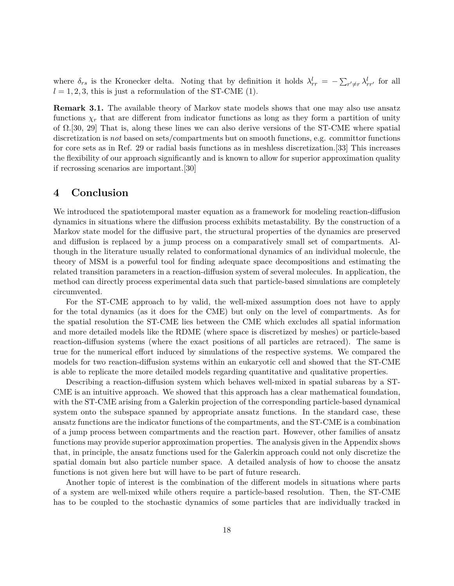where  $\delta_{rs}$  is the Kronecker delta. Noting that by definition it holds  $\lambda_{rr}^l = -\sum_{r'\neq r} \lambda_{rr'}^l$  for all  $l = 1, 2, 3$ , this is just a reformulation of the ST-CME  $(1)$ .

**Remark 3.1.** The available theory of Markov state models shows that one may also use ansatz functions  $\chi_r$  that are different from indicator functions as long as they form a partition of unity of  $\Omega$ .[30, 29] That is, along these lines we can also derive versions of the ST-CME where spatial discretization is *not* based on sets/compartments but on smooth functions, e.g. committor functions for core sets as in Ref. 29 or radial basis functions as in meshless discretization.[33] This increases the flexibility of our approach significantly and is known to allow for superior approximation quality if recrossing scenarios are important.[30]

# **4 Conclusion**

We introduced the spatiotemporal master equation as a framework for modeling reaction-diffusion dynamics in situations where the diffusion process exhibits metastability. By the construction of a Markov state model for the diffusive part, the structural properties of the dynamics are preserved and diffusion is replaced by a jump process on a comparatively small set of compartments. Although in the literature usually related to conformational dynamics of an individual molecule, the theory of MSM is a powerful tool for finding adequate space decompositions and estimating the related transition parameters in a reaction-diffusion system of several molecules. In application, the method can directly process experimental data such that particle-based simulations are completely circumvented.

For the ST-CME approach to by valid, the well-mixed assumption does not have to apply for the total dynamics (as it does for the CME) but only on the level of compartments. As for the spatial resolution the ST-CME lies between the CME which excludes all spatial information and more detailed models like the RDME (where space is discretized by meshes) or particle-based reaction-diffusion systems (where the exact positions of all particles are retraced). The same is true for the numerical effort induced by simulations of the respective systems. We compared the models for two reaction-diffusion systems within an eukaryotic cell and showed that the ST-CME is able to replicate the more detailed models regarding quantitative and qualitative properties.

Describing a reaction-diffusion system which behaves well-mixed in spatial subareas by a ST-CME is an intuitive approach. We showed that this approach has a clear mathematical foundation, with the ST-CME arising from a Galerkin projection of the corresponding particle-based dynamical system onto the subspace spanned by appropriate ansatz functions. In the standard case, these ansatz functions are the indicator functions of the compartments, and the ST-CME is a combination of a jump process between compartments and the reaction part. However, other families of ansatz functions may provide superior approximation properties. The analysis given in the Appendix shows that, in principle, the ansatz functions used for the Galerkin approach could not only discretize the spatial domain but also particle number space. A detailed analysis of how to choose the ansatz functions is not given here but will have to be part of future research.

Another topic of interest is the combination of the different models in situations where parts of a system are well-mixed while others require a particle-based resolution. Then, the ST-CME has to be coupled to the stochastic dynamics of some particles that are individually tracked in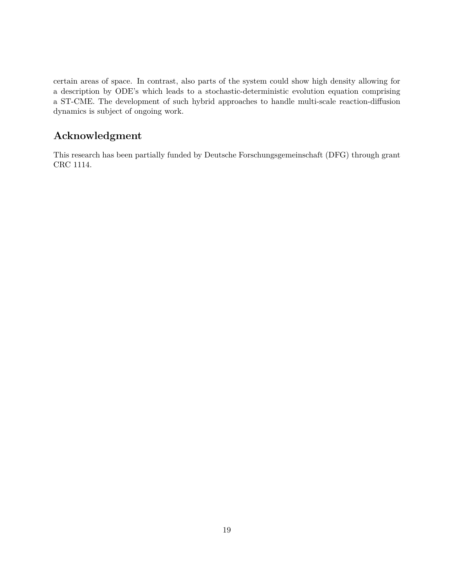certain areas of space. In contrast, also parts of the system could show high density allowing for a description by ODE's which leads to a stochastic-deterministic evolution equation comprising a ST-CME. The development of such hybrid approaches to handle multi-scale reaction-diffusion dynamics is subject of ongoing work.

# **Acknowledgment**

This research has been partially funded by Deutsche Forschungsgemeinschaft (DFG) through grant CRC 1114.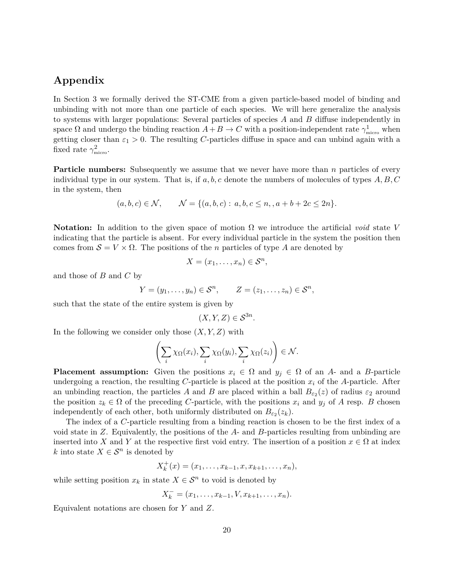# **Appendix**

In Section 3 we formally derived the ST-CME from a given particle-based model of binding and unbinding with not more than one particle of each species. We will here generalize the analysis to systems with larger populations: Several particles of species *A* and *B* diffuse independently in space  $\Omega$  and undergo the binding reaction  $A + B \to C$  with a position-independent rate  $\gamma_{\text{micro}}^1$  when getting closer than  $\varepsilon_1 > 0$ . The resulting *C*-particles diffuse in space and can unbind again with a fixed rate  $\gamma_{\text{micro}}^2$ .

**Particle numbers:** Subsequently we assume that we never have more than *n* particles of every individual type in our system. That is, if *a, b, c* denote the numbers of molecules of types *A, B, C* in the system, then

$$
(a, b, c) \in \mathcal{N}
$$
,  $\mathcal{N} = \{(a, b, c) : a, b, c \leq n, a + b + 2c \leq 2n\}$ .

**Notation:** In addition to the given space of motion  $\Omega$  we introduce the artificial *void* state *V* indicating that the particle is absent. For every individual particle in the system the position then comes from  $S = V \times \Omega$ . The positions of the *n* particles of type *A* are denoted by

$$
X=(x_1,\ldots,x_n)\in\mathcal{S}^n,
$$

and those of *B* and *C* by

$$
Y = (y_1, \ldots, y_n) \in \mathcal{S}^n, \qquad Z = (z_1, \ldots, z_n) \in \mathcal{S}^n,
$$

such that the state of the entire system is given by

$$
(X, Y, Z) \in \mathcal{S}^{3n}.
$$

In the following we consider only those (*X, Y, Z*) with

$$
\left(\sum_{i}\chi_{\Omega}(x_{i}),\sum_{i}\chi_{\Omega}(y_{i}),\sum_{i}\chi_{\Omega}(z_{i})\right)\in\mathcal{N}.
$$

**Placement assumption:** Given the positions  $x_i \in \Omega$  and  $y_j \in \Omega$  of an *A*- and a *B*-particle undergoing a reaction, the resulting *C*-particle is placed at the position  $x_i$  of the *A*-particle. After an unbinding reaction, the particles *A* and *B* are placed within a ball  $B_{\varepsilon_2}(z)$  of radius  $\varepsilon_2$  around the position  $z_k \in \Omega$  of the preceding *C*-particle, with the positions  $x_i$  and  $y_j$  of *A* resp. *B* chosen independently of each other, both uniformly distributed on  $B_{\varepsilon_2}(z_k)$ .

The index of a *C*-particle resulting from a binding reaction is chosen to be the first index of a void state in *Z*. Equivalently, the positions of the *A*- and *B*-particles resulting from unbinding are inserted into *X* and *Y* at the respective first void entry. The insertion of a position  $x \in \Omega$  at index *k* into state  $X \in \mathcal{S}^n$  is denoted by

$$
X_k^+(x) = (x_1, \ldots, x_{k-1}, x, x_{k+1}, \ldots, x_n),
$$

while setting position  $x_k$  in state  $X \in \mathcal{S}^n$  to void is denoted by

$$
X_k^- = (x_1, \ldots, x_{k-1}, V, x_{k+1}, \ldots, x_n).
$$

Equivalent notations are chosen for *Y* and *Z*.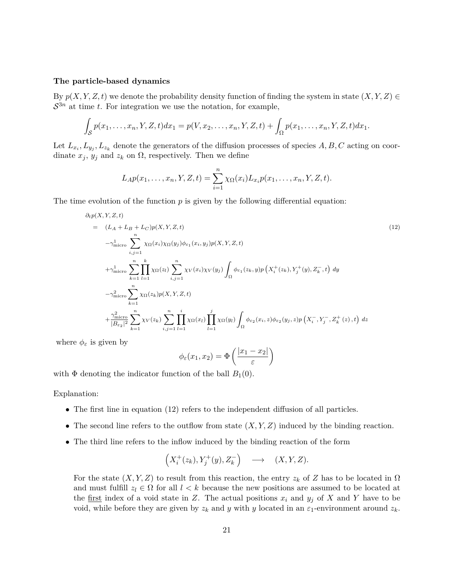### **The particle-based dynamics**

By  $p(X, Y, Z, t)$  we denote the probability density function of finding the system in state  $(X, Y, Z) \in$  $S^{3n}$  at time *t*. For integration we use the notation, for example,

$$
\int_{S} p(x_1,\ldots,x_n,Y,Z,t)dx_1=p(V,x_2,\ldots,x_n,Y,Z,t)+\int_{\Omega} p(x_1,\ldots,x_n,Y,Z,t)dx_1.
$$

Let  $L_{x_i}, L_{y_j}, L_{z_k}$  denote the generators of the diffusion processes of species  $A, B, C$  acting on coordinate  $x_j$ ,  $y_j$  and  $z_k$  on  $\Omega$ , respectively. Then we define

$$
L_A p(x_1,...,x_n,Y,Z,t) = \sum_{i=1}^n \chi_{\Omega}(x_i) L_{x_i} p(x_1,...,x_n,Y,Z,t).
$$

The time evolution of the function  $p$  is given by the following differential equation:

$$
\partial_{t}p(X, Y, Z, t) = (L_{A} + L_{B} + L_{C})p(X, Y, Z, t)
$$
\n
$$
-\gamma_{\text{micro}}^{1} \sum_{i,j=1}^{n} \chi_{\Omega}(x_{i})\chi_{\Omega}(y_{j})\phi_{\varepsilon_{1}}(x_{i}, y_{j})p(X, Y, Z, t)
$$
\n
$$
+\gamma_{\text{micro}}^{1} \sum_{k=1}^{n} \prod_{l=1}^{k} \chi_{\Omega}(z_{l}) \sum_{i,j=1}^{n} \chi_{V}(x_{i})\chi_{V}(y_{j}) \int_{\Omega} \phi_{\varepsilon_{1}}(z_{k}, y)p\left(X_{i}^{+}(z_{k}), Y_{j}^{+}(y), Z_{k}^{-}, t\right) dy
$$
\n
$$
-\gamma_{\text{micro}}^{2} \sum_{k=1}^{n} \chi_{\Omega}(z_{k})p(X, Y, Z, t)
$$
\n
$$
+\frac{\gamma_{\text{micro}}^{2}}{|B_{\varepsilon_{2}}|^{2}} \sum_{k=1}^{n} \chi_{V}(z_{k}) \sum_{i,j=1}^{n} \prod_{l=1}^{i} \chi_{\Omega}(x_{l}) \prod_{l=1}^{j} \chi_{\Omega}(y_{l}) \int_{\Omega} \phi_{\varepsilon_{2}}(x_{i}, z)\phi_{\varepsilon_{2}}(y_{j}, z)p\left(X_{i}^{-}, Y_{j}^{-}, Z_{k}^{+}(z), t\right) dz
$$
\n(12)

where  $\phi_{\varepsilon}$  is given by

$$
\phi_{\varepsilon}(x_1, x_2) = \Phi\left(\frac{|x_1 - x_2|}{\varepsilon}\right)
$$

with  $\Phi$  denoting the indicator function of the ball  $B_1(0)$ .

Explanation:

- The first line in equation (12) refers to the independent diffusion of all particles.
- The second line refers to the outflow from state  $(X, Y, Z)$  induced by the binding reaction.
- The third line refers to the inflow induced by the binding reaction of the form

$$
\left(X_i^+(z_k), Y_j^+(y), Z_k^-\right) \longrightarrow (X, Y, Z).
$$

For the state  $(X, Y, Z)$  to result from this reaction, the entry  $z_k$  of  $Z$  has to be located in  $\Omega$ and must fulfill  $z_l \in \Omega$  for all  $l < k$  because the new positions are assumed to be located at the <u>first</u> index of a void state in Z. The actual positions  $x_i$  and  $y_j$  of X and Y have to be void, while before they are given by  $z_k$  and  $y$  with  $y$  located in an  $\varepsilon_1$ -environment around  $z_k$ .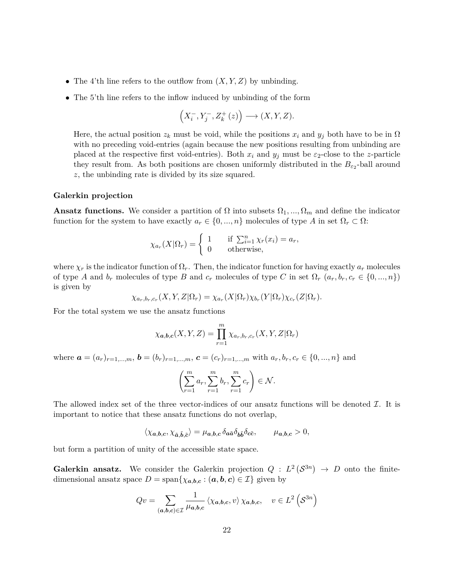- The 4'th line refers to the outflow from  $(X, Y, Z)$  by unbinding.
- The 5'th line refers to the inflow induced by unbinding of the form

$$
(X_i^-, Y_j^-, Z_k^+(z)) \longrightarrow (X, Y, Z).
$$

Here, the actual position  $z_k$  must be void, while the positions  $x_i$  and  $y_j$  both have to be in  $\Omega$ with no preceding void-entries (again because the new positions resulting from unbinding are placed at the respective first void-entries). Both  $x_i$  and  $y_j$  must be  $\varepsilon_2$ -close to the *z*-particle they result from. As both positions are chosen uniformly distributed in the  $B_{\varepsilon_2}$ -ball around *z*, the unbinding rate is divided by its size squared.

# **Galerkin projection**

**Ansatz functions.** We consider a partition of  $\Omega$  into subsets  $\Omega_1, ..., \Omega_m$  and define the indicator function for the system to have exactly  $a_r \in \{0, ..., n\}$  molecules of type *A* in set  $\Omega_r \subset \Omega$ :

$$
\chi_{a_r}(X|\Omega_r) = \begin{cases} 1 & \text{if } \sum_{i=1}^n \chi_r(x_i) = a_r, \\ 0 & \text{otherwise,} \end{cases}
$$

where  $\chi_r$  is the indicator function of  $\Omega_r$ . Then, the indicator function for having exactly  $a_r$  molecules of type *A* and  $b_r$  molecules of type *B* and  $c_r$  molecules of type *C* in set  $\Omega_r$   $(a_r, b_r, c_r \in \{0, ..., n\})$ is given by

$$
\chi_{a_r,b_r,c_r}(X,Y,Z|\Omega_r)=\chi_{a_r}(X|\Omega_r)\chi_{b_r}(Y|\Omega_r)\chi_{c_r}(Z|\Omega_r).
$$

For the total system we use the ansatz functions

$$
\chi_{\mathbf{a},\mathbf{b},\mathbf{c}}(X,Y,Z) = \prod_{r=1}^{m} \chi_{a_r,b_r,c_r}(X,Y,Z|\Omega_r)
$$

where  $\mathbf{a} = (a_r)_{r=1,\dots,m}$ ,  $\mathbf{b} = (b_r)_{r=1,\dots,m}$ ,  $\mathbf{c} = (c_r)_{r=1,\dots,m}$  with  $a_r, b_r, c_r \in \{0, \dots, n\}$  and

$$
\left(\sum_{r=1}^{m} a_r, \sum_{r=1}^{m} b_r, \sum_{r=1}^{m} c_r\right) \in \mathcal{N}.
$$

The allowed index set of the three vector-indices of our ansatz functions will be denoted  $\mathcal{I}$ . It is important to notice that these ansatz functions do not overlap,

$$
\langle \chi_{a,b,c}, \chi_{\tilde{a},\tilde{b},\tilde{c}} \rangle = \mu_{a,b,c} \, \delta_{a\tilde{a}} \delta_{b\tilde{b}} \delta_{c\tilde{c}}, \qquad \mu_{a,b,c} > 0,
$$

but form a partition of unity of the accessible state space.

**Galerkin ansatz.** We consider the Galerkin projection  $Q : L^2(\mathcal{S}^{3n}) \to D$  onto the finitedimensional ansatz space  $D = \text{span}\{\chi_{a,b,c} : (a, b, c) \in \mathcal{I}\}\$  given by

$$
Qv = \sum_{(\mathbf{a},\mathbf{b},\mathbf{c}) \in \mathcal{I}} \frac{1}{\mu_{\mathbf{a},\mathbf{b},\mathbf{c}}} \langle \chi_{\mathbf{a},\mathbf{b},\mathbf{c}}, v \rangle \chi_{\mathbf{a},\mathbf{b},\mathbf{c}}, \quad v \in L^2\left(\mathcal{S}^{3n}\right)
$$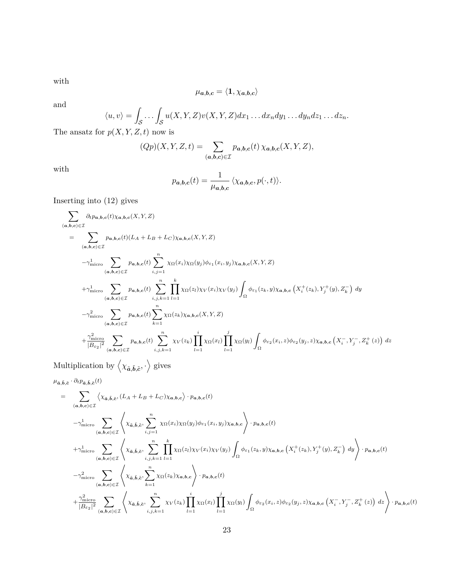with

$$
\mu_{\bm{a},\bm{b},\bm{c}}=\langle \bm{1}, \chi_{\bm{a},\bm{b},\bm{c}} \rangle
$$

and

$$
\langle u, v \rangle = \int_{\mathcal{S}} \dots \int_{\mathcal{S}} u(X, Y, Z) v(X, Y, Z) dx_1 \dots dx_n dy_1 \dots dy_n dz_1 \dots dz_n.
$$

The ansatz for  $p(X, Y, Z, t)$  now is

$$
(Qp)(X,Y,Z,t) = \sum_{(a,b,c)\in\mathcal{I}} p_{a,b,c}(t) \chi_{a,b,c}(X,Y,Z),
$$

with

$$
p_{a,b,c}(t) = \frac{1}{\mu_{a,b,c}} \langle \chi_{a,b,c}, p(\cdot, t) \rangle.
$$

Inserting into (12) gives

$$
\sum_{(\mathbf{a},\mathbf{b},\mathbf{c})\in\mathcal{I}} \partial_t p_{\mathbf{a},\mathbf{b},\mathbf{c}}(t) \chi_{\mathbf{a},\mathbf{b},\mathbf{c}}(X,Y,Z)
$$
\n
$$
= \sum_{(\mathbf{a},\mathbf{b},\mathbf{c})\in\mathcal{I}} p_{\mathbf{a},\mathbf{b},\mathbf{c}}(t) (L_A + L_B + L_C) \chi_{\mathbf{a},\mathbf{b},\mathbf{c}}(X,Y,Z)
$$
\n
$$
- \gamma_{\text{micro}}^1 \sum_{(\mathbf{a},\mathbf{b},\mathbf{c})\in\mathcal{I}} p_{\mathbf{a},\mathbf{b},\mathbf{c}}(t) \sum_{i,j=1}^n \chi_{\Omega}(x_i) \chi_{\Omega}(y_j) \phi_{\varepsilon_1}(x_i, y_j) \chi_{\mathbf{a},\mathbf{b},\mathbf{c}}(X,Y,Z)
$$
\n
$$
+ \gamma_{\text{micro}}^1 \sum_{(\mathbf{a},\mathbf{b},\mathbf{c})\in\mathcal{I}} p_{\mathbf{a},\mathbf{b},\mathbf{c}}(t) \sum_{i,j,k=1}^n \prod_{l=1}^k \chi_{\Omega}(z_l) \chi_V(x_i) \chi_V(y_j) \int_{\Omega} \phi_{\varepsilon_1}(z_k, y) \chi_{\mathbf{a},\mathbf{b},\mathbf{c}}(X_i^+(z_k), Y_j^+(y), Z_k^-) dy
$$
\n
$$
- \gamma_{\text{micro}}^2 \sum_{(\mathbf{a},\mathbf{b},\mathbf{c})\in\mathcal{I}} p_{\mathbf{a},\mathbf{b},\mathbf{c}}(t) \sum_{k=1}^n \chi_{\Omega}(z_k) \chi_{\mathbf{a},\mathbf{b},\mathbf{c}}(X,Y,Z)
$$
\n
$$
+ \frac{\gamma_{\text{micro}}^2}{|B_{\varepsilon_2}|^2} \sum_{(\mathbf{a},\mathbf{b},\mathbf{c})\in\mathcal{I}} p_{\mathbf{a},\mathbf{b},\mathbf{c}}(t) \sum_{i,j,k=1}^n \chi_{V}(z_k) \prod_{l=1}^i \chi_{\Omega}(x_l) \prod_{l=1}^j \chi_{\Omega}(y_l) \int_{\Omega
$$

Multiplication by  $\langle \chi_{\tilde{\mathbf{a}}, \tilde{\mathbf{b}}, \tilde{\mathbf{c}}}, \cdot \rangle$  gives

 $\mu_{\tilde{\bm{a}},\tilde{\bm{b}},\tilde{\bm{c}}} \cdot \partial_t p_{\tilde{\bm{a}},\tilde{\bm{b}},\tilde{\bm{c}}}(t)$ 

$$
= \sum_{(\mathbf{a},\mathbf{b},\mathbf{c})\in\mathcal{I}} \left\langle \chi_{\tilde{\mathbf{a}},\tilde{\mathbf{b}},\tilde{\mathbf{c}}},(L_{A}+L_{B}+L_{C})\chi_{\mathbf{a},\mathbf{b},\mathbf{c}}\right\rangle \cdot p_{\mathbf{a},\mathbf{b},\mathbf{c}}(t) \n-\gamma_{\text{micro}}^{\text{1}} \sum_{(\mathbf{a},\mathbf{b},\mathbf{c})\in\mathcal{I}} \left\langle \chi_{\tilde{\mathbf{a}},\tilde{\mathbf{b}},\tilde{\mathbf{c}}},\sum_{i,j=1}^{n} \chi_{\Omega}(x_{i})\chi_{\Omega}(y_{j})\phi_{\varepsilon_{1}}(x_{i},y_{j})\chi_{\mathbf{a},\mathbf{b},\mathbf{c}}\right\rangle \cdot p_{\mathbf{a},\mathbf{b},\mathbf{c}}(t) \n+ \gamma_{\text{micro}}^{\text{1}} \sum_{(\mathbf{a},\mathbf{b},\mathbf{c})\in\mathcal{I}} \left\langle \chi_{\tilde{\mathbf{a}},\tilde{\mathbf{b}},\tilde{\mathbf{c}}},\sum_{i,j,k=1}^{n} \prod_{l=1}^{k} \chi_{\Omega}(z_{l})\chi_{V}(x_{i})\chi_{V}(y_{j}) \int_{\Omega} \phi_{\varepsilon_{1}}(z_{k},y)\chi_{\mathbf{a},\mathbf{b},\mathbf{c}}\left(X_{i}^{+}(z_{k}),Y_{j}^{+}(y),Z_{k}^{-}\right) dy \right\rangle \cdot p_{\mathbf{a},\mathbf{b},\mathbf{c}}(t) \n- \gamma_{\text{micro}}^{\text{2}} \sum_{(\mathbf{a},\mathbf{b},\mathbf{c})\in\mathcal{I}} \left\langle \chi_{\tilde{\mathbf{a}},\tilde{\mathbf{b}},\tilde{\mathbf{c}}},\sum_{k=1}^{n} \chi_{\Omega}(z_{k})\chi_{\mathbf{a},\mathbf{b},\mathbf{c}}\right\rangle \cdot p_{\mathbf{a},\mathbf{b},\mathbf{c}}(t) \n+ \frac{\gamma_{\text{micro}}^2}{|B_{\varepsilon_{2}|}^2} \sum_{(\mathbf{a},\mathbf{b},\mathbf{c})\in\math
$$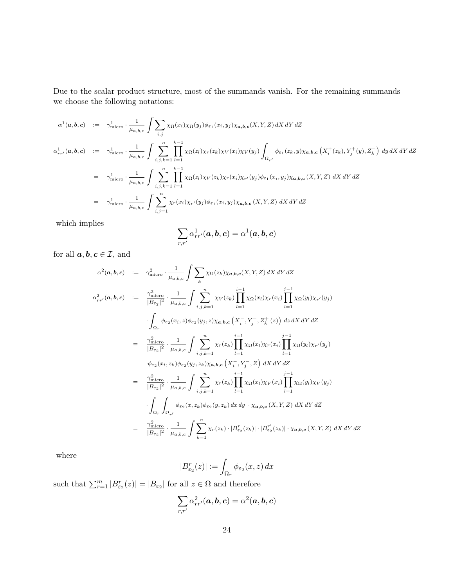Due to the scalar product structure, most of the summands vanish. For the remaining summands we choose the following notations:

$$
\alpha^1(a,b,c) := \gamma^1_{\text{micro}} \cdot \frac{1}{\mu_{a,b,c}} \int \sum_{i,j} \chi_{\Omega}(x_i) \chi_{\Omega}(y_j) \phi_{\varepsilon_1}(x_i, y_j) \chi_{a,b,c}(X, Y, Z) dX dY dZ
$$
  
\n
$$
\alpha^1_{rr'}(a,b,c) := \gamma^1_{\text{micro}} \cdot \frac{1}{\mu_{a,b,c}} \int \sum_{i,j,k=1}^n \prod_{l=1}^{k-1} \chi_{\Omega}(z_l) \chi_r(z_k) \chi_V(x_i) \chi_V(y_j) \int_{\Omega_{r'}} \phi_{\varepsilon_1}(z_k, y) \chi_{a,b,c} \left(X_i^+(z_k), Y_j^+(y), Z_k^-\right) dy dX dY dZ
$$
  
\n
$$
= \gamma^1_{\text{micro}} \cdot \frac{1}{\mu_{a,b,c}} \int \sum_{i,j,k=1}^n \prod_{l=1}^{k-1} \chi_{\Omega}(z_l) \chi_V(z_k) \chi_r(x_i) \chi_{r'}(y_j) \phi_{\varepsilon_1}(x_i, y_j) \chi_{a,b,c}(X, Y, Z) dX dY dZ
$$
  
\n
$$
= \gamma^1_{\text{micro}} \cdot \frac{1}{\mu_{a,b,c}} \int \sum_{i,j=1}^n \chi_r(x_i) \chi_{r'}(y_j) \phi_{\varepsilon_1}(x_i, y_j) \chi_{a,b,c}(X, Y, Z) dX dY dZ
$$

which implies

$$
\sum_{r,r'} \alpha^1_{rr'}(\bm{a},\bm{b},\bm{c}) = \alpha^1(\bm{a},\bm{b},\bm{c})
$$

for all  $a, b, c \in \mathcal{I}$ , and

$$
\alpha^{2}(\mathbf{a}, \mathbf{b}, \mathbf{c}) := \gamma_{\text{micro}}^{2} \cdot \frac{1}{\mu_{a,b,c}} \int \sum_{k} \chi_{\Omega}(z_{k}) \chi_{\mathbf{a},\mathbf{b},\mathbf{c}}(X,Y,Z) dX dY dZ
$$
\n
$$
\alpha_{rr'}^{2}(\mathbf{a}, \mathbf{b}, \mathbf{c}) := \frac{\gamma_{\text{micro}}^{2}}{|B_{\varepsilon_{2}}|^{2}} \cdot \frac{1}{\mu_{a,b,c}} \int \sum_{i,j,k=1}^{n} \chi_{V}(z_{k}) \prod_{l=1}^{i-1} \chi_{\Omega}(x_{l}) \chi_{r}(x_{i}) \prod_{l=1}^{j-1} \chi_{\Omega}(y_{l}) \chi_{r'}(y_{j})
$$
\n
$$
\cdot \int_{\Omega_{r}} \phi_{\varepsilon_{2}}(x_{i}, z) \phi_{\varepsilon_{2}}(y_{j}, z) \chi_{\mathbf{a},\mathbf{b},\mathbf{c}}(X_{i}^{-}, Y_{j}^{-}, Z_{k}^{+}(z)) dz dX dY dZ
$$
\n
$$
= \frac{\gamma_{\text{micro}}^{2}}{|B_{\varepsilon_{2}}|^{2}} \cdot \frac{1}{\mu_{a,b,c}} \int \sum_{i,j,k=1}^{n} \chi_{r}(z_{k}) \prod_{l=1}^{i-1} \chi_{\Omega}(x_{l}) \chi_{r}(x_{i}) \prod_{l=1}^{j-1} \chi_{\Omega}(y_{l}) \chi_{r'}(y_{j})
$$
\n
$$
\cdot \phi_{\varepsilon_{2}}(x_{i}, z_{k}) \phi_{\varepsilon_{2}}(y_{j}, z_{k}) \chi_{\mathbf{a},\mathbf{b},\mathbf{c}}(X_{i}^{-}, Y_{j}^{-}, Z) dX dY dZ
$$
\n
$$
= \frac{\gamma_{\text{micro}}^{2}}{|B_{\varepsilon_{2}}|^{2}} \cdot \frac{1}{\mu_{a,b,c}} \int \sum_{i,j,k=1}^{n} \chi_{r}(z_{k}) \prod_{l=1}^{i-1} \chi_{\Omega}(x_{l}) \chi_{V}(x_{i}) \prod_{l=1}^{j-1} \chi_{\Omega}(y_{l}) \chi_{V}(y_{j})
$$
\n
$$
\cdot \int_{\Omega_{r}} \int_{\Omega_{r'}} \phi_{
$$

where

$$
|B_{\varepsilon_2}^r(z)| := \int_{\Omega_r} \phi_{\varepsilon_2}(x, z) \, dx
$$

such that  $\sum_{r=1}^{m} |B_{\varepsilon_2}^r(z)| = |B_{\varepsilon_2}|$  for all  $z \in \Omega$  and therefore

$$
\sum_{r,r'} \alpha_{rr'}^2(\bm{a},\bm{b},\bm{c}) = \alpha^2(\bm{a},\bm{b},\bm{c})
$$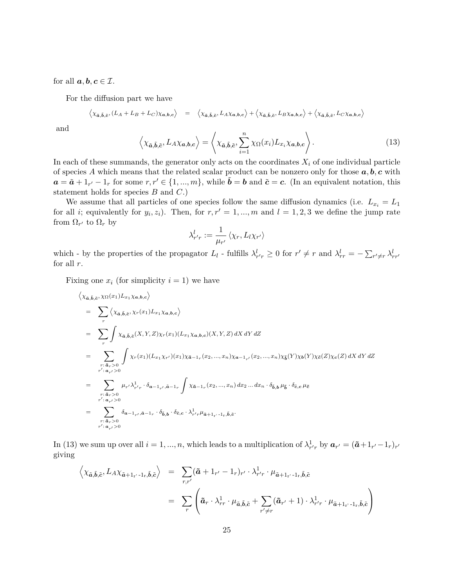for all  $a, b, c \in \mathcal{I}$ .

For the diffusion part we have

$$
\langle \chi_{\tilde{a},\tilde{b},\tilde{c}},(L_A+L_B+L_C)\chi_{a,b,c} \rangle = \langle \chi_{\tilde{a},\tilde{b},\tilde{c}},L_A\chi_{a,b,c} \rangle + \langle \chi_{\tilde{a},\tilde{b},\tilde{c}},L_B\chi_{a,b,c} \rangle + \langle \chi_{\tilde{a},\tilde{b},\tilde{c}},L_C\chi_{a,b,c} \rangle
$$

and

$$
\left\langle \chi_{\tilde{\boldsymbol{a}},\tilde{\boldsymbol{b}},\tilde{\boldsymbol{c}}},L_A\chi_{\boldsymbol{a},\boldsymbol{b},\boldsymbol{c}} \right\rangle = \left\langle \chi_{\tilde{\boldsymbol{a}},\tilde{\boldsymbol{b}},\tilde{\boldsymbol{c}}},\sum_{i=1}^n \chi_{\Omega}(x_i)L_{x_i}\chi_{\boldsymbol{a},\boldsymbol{b},\boldsymbol{c}} \right\rangle.
$$
 (13)

In each of these summands, the generator only acts on the coordinates  $X_i$  of one individual particle of species A which means that the related scalar product can be nonzero only for those  $a, b, c$  with  $a = \tilde{a} + 1_{r'} - 1_r$  for some  $r, r' \in \{1, ..., m\}$ , while  $\tilde{b} = b$  and  $\tilde{c} = c$ . (In an equivalent notation, this statement holds for species *B* and *C*.)

We assume that all particles of one species follow the same diffusion dynamics (i.e.  $L_{x_i} = L_1$ for all *i*; equivalently for  $y_i, z_i$ ). Then, for  $r, r' = 1, ..., m$  and  $l = 1, 2, 3$  we define the jump rate from  $\Omega_{r'}$  to  $\Omega_r$  by

$$
\lambda_{r'r}^l:=\frac{1}{\mu_{r'}}\left\langle \chi_r, L_l\chi_{r'}\right\rangle
$$

which - by the properties of the propagator  $L_l$  - fulfills  $\lambda_{r'r}^l \geq 0$  for  $r' \neq r$  and  $\lambda_{rr}^l = -\sum_{r' \neq r} \lambda_{rr'}^l$ for all *r*.

Fixing one  $x_i$  (for simplicity  $i = 1$ ) we have

$$
\langle \chi_{\tilde{a},\tilde{b},\tilde{c}}, \chi_{\Omega}(x_{1})L_{x_{1}}\chi_{\tilde{a},\tilde{b},c} \rangle
$$
\n
$$
= \sum_{r} \langle \chi_{\tilde{a},\tilde{b},\tilde{c}}, \chi_{r}(x_{1})L_{x_{1}}\chi_{\tilde{a},\tilde{b},c} \rangle
$$
\n
$$
= \sum_{r} \int \chi_{\tilde{a},\tilde{b},\tilde{c}}(X,Y,Z)\chi_{r}(x_{1})(L_{x_{1}}\chi_{\tilde{a},b,c})(X,Y,Z) dX dY dZ
$$
\n
$$
= \sum_{r:\tilde{a}_{r}>0} \int \chi_{r}(x_{1})(L_{x_{1}}\chi_{r'})(x_{1})\chi_{\tilde{a}-1_{r}}(x_{2},...,x_{n})\chi_{a-1_{r'}}(x_{2},...,x_{n})\chi_{\tilde{b}}(Y)\chi_{b}(Y)\chi_{\tilde{c}}(Z)\chi_{c}(Z) dX dY dZ
$$
\n
$$
= \sum_{r':\tilde{a}_{r}>0} \mu_{r'}\lambda_{r'r}^{1} \cdot \delta_{a-1_{r'},\tilde{a}-1_{r}} \int \chi_{\tilde{a}-1_{r}}(x_{2},...,x_{n}) dx_{2}...dx_{n} \cdot \delta_{\tilde{b},b} \mu_{\tilde{b}} \cdot \delta_{\tilde{c},c} \mu_{\tilde{c}}
$$
\n
$$
= \sum_{\begin{subarray}{c} r':\tilde{a}_{r}>0\\ r':\tilde{a}_{r}>0 \end{subarray}} \delta_{a-1_{r'},\tilde{a}-1_{r}} \cdot \delta_{\tilde{b},b} \cdot \delta_{\tilde{c},c} \cdot \lambda_{r'r'}^{1} \mu_{\tilde{a}+1_{r'}-1_{r},\tilde{b},\tilde{c}};
$$
\n
$$
= \sum_{r':\tilde{a}_{r'}>0} \delta_{r':\tilde{a}_{r'}>0}
$$

In (13) we sum up over all  $i = 1, ..., n$ , which leads to a multiplication of  $\lambda_{r'r}^1$  by  $a_{r'} = (\tilde{a} + 1_{r'} - 1_r)_{r'}$ giving

$$
\left\langle \chi_{\tilde{a},\tilde{b},\tilde{c}}, L_A \chi_{\tilde{a}+1_{r^{\prime}}-1_{r},\tilde{b},\tilde{c}} \right\rangle = \sum_{r,r'} (\tilde{a}+1_{r'}-1_{r})_{r'} \cdot \lambda_{r'r}^{1} \cdot \mu_{\tilde{a}+1_{r'}-1_{r},\tilde{b},\tilde{c}} \n= \sum_{r} \left( \tilde{a}_{r} \cdot \lambda_{rr}^{1} \cdot \mu_{\tilde{a},\tilde{b},\tilde{c}} + \sum_{r'\neq r} (\tilde{a}_{r'}+1) \cdot \lambda_{r'r}^{1} \cdot \mu_{\tilde{a}+1_{r'}-1_{r},\tilde{b},\tilde{c}} \right)
$$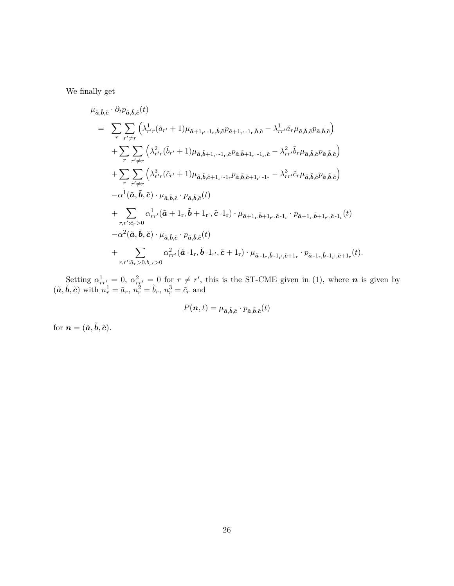We finally get

$$
\mu_{\tilde{a},\tilde{b},\tilde{c}} \cdot \partial_{t} p_{\tilde{a},\tilde{b},\tilde{c}}(t) \n= \sum_{r} \sum_{r'\neq r} \left( \lambda_{r'r}^{1}(\tilde{a}_{r'}+1)\mu_{\tilde{a}+1_{r'}-1_{r},\tilde{b},\tilde{c}}p_{\tilde{a}+1_{r'}-1_{r},\tilde{b},\tilde{c}} - \lambda_{rr'}^{1} \tilde{a}_{r} \mu_{\tilde{a},\tilde{b},\tilde{c}} p_{\tilde{a},\tilde{b},\tilde{c}} \right) \n+ \sum_{r} \sum_{r'\neq r} \left( \lambda_{r'r}^{2}(\tilde{b}_{r'}+1)\mu_{\tilde{a},\tilde{b}+1_{r'}-1_{r},\tilde{c}}p_{\tilde{a},\tilde{b}+1_{r'}-1_{r},\tilde{c}} - \lambda_{rr'}^{2} \tilde{b}_{r} \mu_{\tilde{a},\tilde{b},\tilde{c}} p_{\tilde{a},\tilde{b},\tilde{c}} \right) \n+ \sum_{r} \sum_{r'\neq r} \left( \lambda_{r'r}^{3}(\tilde{c}_{r'}+1)\mu_{\tilde{a},\tilde{b},\tilde{c}+1_{r'}-1_{r}}p_{\tilde{a},\tilde{b},\tilde{c}+1_{r'}-1_{r}} - \lambda_{rr'}^{3} \tilde{c}_{r} \mu_{\tilde{a},\tilde{b},\tilde{c}} p_{\tilde{a},\tilde{b},\tilde{c}} \right) \n- \alpha^{1}(\tilde{a},\tilde{b},\tilde{c}) \cdot \mu_{\tilde{a},\tilde{b},\tilde{c}} \cdot p_{\tilde{a},\tilde{b},\tilde{c}}(t) \n+ \sum_{r,r'\colon \tilde{c}_r>0} \alpha_{rr'}^{1}(\tilde{a}+1_{r},\tilde{b}+1_{r'},\tilde{c}-1_{r}) \cdot \mu_{\tilde{a}+1_{r},\tilde{b}+1_{r'},\tilde{c}-1_{r}} \cdot p_{\tilde{a}+1_{r},\tilde{b}+1_{r'},\tilde{c}-1_{r}}(t) \n- \
$$

Setting  $\alpha_{rr'}^1 = 0$ ,  $\alpha_{rr'}^2 = 0$  for  $r \neq r'$ , this is the ST-CME given in (1), where *n* is given by  $(\tilde{a}, \tilde{b}, \tilde{c})$  with  $n_r^1 = \tilde{a}_r$ ,  $n_r^2 = \tilde{b}_r$ ,  $n_r^3 = \tilde{c}_r$  and

$$
P(\mathbf{n},t) = \mu_{\tilde{\mathbf{a}},\tilde{\mathbf{b}},\tilde{\mathbf{c}}}\cdot p_{\tilde{\mathbf{a}},\tilde{\mathbf{b}},\tilde{\mathbf{c}}}(t)
$$

for  $n = (\tilde{a}, \tilde{b}, \tilde{c})$ .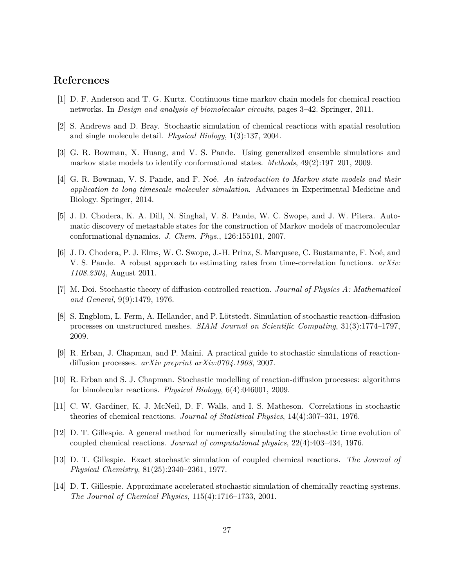# **References**

- [1] D. F. Anderson and T. G. Kurtz. Continuous time markov chain models for chemical reaction networks. In *Design and analysis of biomolecular circuits*, pages 3–42. Springer, 2011.
- [2] S. Andrews and D. Bray. Stochastic simulation of chemical reactions with spatial resolution and single molecule detail. *Physical Biology*, 1(3):137, 2004.
- [3] G. R. Bowman, X. Huang, and V. S. Pande. Using generalized ensemble simulations and markov state models to identify conformational states. *Methods*, 49(2):197–201, 2009.
- [4] G. R. Bowman, V. S. Pande, and F. Noé. *An introduction to Markov state models and their application to long timescale molecular simulation*. Advances in Experimental Medicine and Biology. Springer, 2014.
- [5] J. D. Chodera, K. A. Dill, N. Singhal, V. S. Pande, W. C. Swope, and J. W. Pitera. Automatic discovery of metastable states for the construction of Markov models of macromolecular conformational dynamics. *J. Chem. Phys.*, 126:155101, 2007.
- [6] J. D. Chodera, P. J. Elms, W. C. Swope, J.-H. Prinz, S. Marqusee, C. Bustamante, F. Noé, and V. S. Pande. A robust approach to estimating rates from time-correlation functions. *arXiv: 1108.2304*, August 2011.
- [7] M. Doi. Stochastic theory of diffusion-controlled reaction. *Journal of Physics A: Mathematical and General*, 9(9):1479, 1976.
- [8] S. Engblom, L. Ferm, A. Hellander, and P. Lötstedt. Simulation of stochastic reaction-diffusion processes on unstructured meshes. *SIAM Journal on Scientific Computing*, 31(3):1774–1797, 2009.
- [9] R. Erban, J. Chapman, and P. Maini. A practical guide to stochastic simulations of reactiondiffusion processes. *arXiv preprint arXiv:0704.1908*, 2007.
- [10] R. Erban and S. J. Chapman. Stochastic modelling of reaction-diffusion processes: algorithms for bimolecular reactions. *Physical Biology*, 6(4):046001, 2009.
- [11] C. W. Gardiner, K. J. McNeil, D. F. Walls, and I. S. Matheson. Correlations in stochastic theories of chemical reactions. *Journal of Statistical Physics*, 14(4):307–331, 1976.
- [12] D. T. Gillespie. A general method for numerically simulating the stochastic time evolution of coupled chemical reactions. *Journal of computational physics*, 22(4):403–434, 1976.
- [13] D. T. Gillespie. Exact stochastic simulation of coupled chemical reactions. *The Journal of Physical Chemistry*, 81(25):2340–2361, 1977.
- [14] D. T. Gillespie. Approximate accelerated stochastic simulation of chemically reacting systems. *The Journal of Chemical Physics*, 115(4):1716–1733, 2001.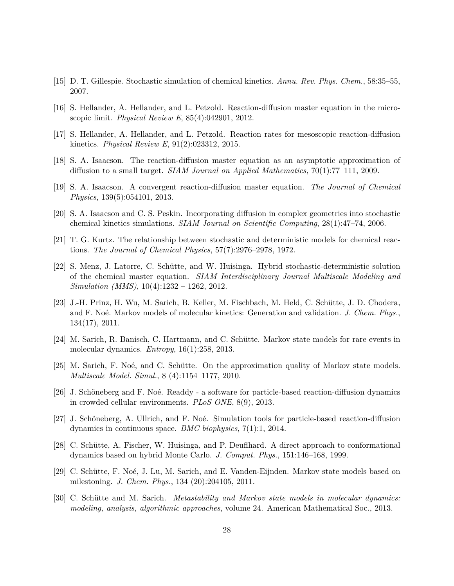- [15] D. T. Gillespie. Stochastic simulation of chemical kinetics. *Annu. Rev. Phys. Chem.*, 58:35–55, 2007.
- [16] S. Hellander, A. Hellander, and L. Petzold. Reaction-diffusion master equation in the microscopic limit. *Physical Review E*, 85(4):042901, 2012.
- [17] S. Hellander, A. Hellander, and L. Petzold. Reaction rates for mesoscopic reaction-diffusion kinetics. *Physical Review E*, 91(2):023312, 2015.
- [18] S. A. Isaacson. The reaction-diffusion master equation as an asymptotic approximation of diffusion to a small target. *SIAM Journal on Applied Mathematics*, 70(1):77–111, 2009.
- [19] S. A. Isaacson. A convergent reaction-diffusion master equation. *The Journal of Chemical Physics*, 139(5):054101, 2013.
- [20] S. A. Isaacson and C. S. Peskin. Incorporating diffusion in complex geometries into stochastic chemical kinetics simulations. *SIAM Journal on Scientific Computing*, 28(1):47–74, 2006.
- [21] T. G. Kurtz. The relationship between stochastic and deterministic models for chemical reactions. *The Journal of Chemical Physics*, 57(7):2976–2978, 1972.
- [22] S. Menz, J. Latorre, C. Schütte, and W. Huisinga. Hybrid stochastic-deterministic solution of the chemical master equation. *SIAM Interdisciplinary Journal Multiscale Modeling and Simulation (MMS)*, 10(4):1232 – 1262, 2012.
- [23] J.-H. Prinz, H. Wu, M. Sarich, B. Keller, M. Fischbach, M. Held, C. Schütte, J. D. Chodera, and F. Noé. Markov models of molecular kinetics: Generation and validation. *J. Chem. Phys.*, 134(17), 2011.
- [24] M. Sarich, R. Banisch, C. Hartmann, and C. Schütte. Markov state models for rare events in molecular dynamics. *Entropy*, 16(1):258, 2013.
- [25] M. Sarich, F. Noé, and C. Schütte. On the approximation quality of Markov state models. *Multiscale Model. Simul.*, 8 (4):1154–1177, 2010.
- [26] J. Schöneberg and F. Noé. Readdy a software for particle-based reaction-diffusion dynamics in crowded cellular environments. *PLoS ONE*, 8(9), 2013.
- [27] J. Schöneberg, A. Ullrich, and F. Noé. Simulation tools for particle-based reaction-diffusion dynamics in continuous space. *BMC biophysics*, 7(1):1, 2014.
- [28] C. Schütte, A. Fischer, W. Huisinga, and P. Deufthard. A direct approach to conformational dynamics based on hybrid Monte Carlo. *J. Comput. Phys.*, 151:146–168, 1999.
- [29] C. Schütte, F. Noé, J. Lu, M. Sarich, and E. Vanden-Eijnden. Markov state models based on milestoning. *J. Chem. Phys.*, 134 (20):204105, 2011.
- [30] C. Schütte and M. Sarich. *Metastability and Markov state models in molecular dynamics: modeling, analysis, algorithmic approaches*, volume 24. American Mathematical Soc., 2013.